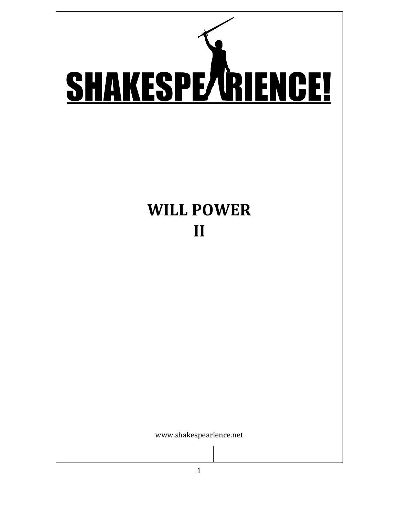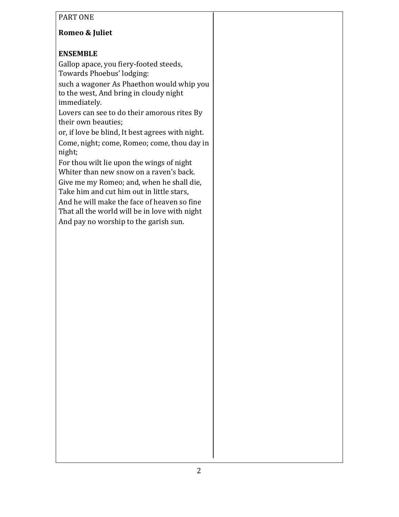### PART ONE

## **Romeo & Juliet**

### **ENSEMBLE**

Gallop apace, you fiery-footed steeds, Towards Phoebus' lodging:

such a wagoner As Phaethon would whip you to the west, And bring in cloudy night immediately.

Lovers can see to do their amorous rites By their own beauties;

or, if love be blind, It best agrees with night. Come, night; come, Romeo; come, thou day in night;

For thou wilt lie upon the wings of night Whiter than new snow on a raven's back.

Give me my Romeo; and, when he shall die, Take him and cut him out in little stars,

And he will make the face of heaven so fine That all the world will be in love with night And pay no worship to the garish sun.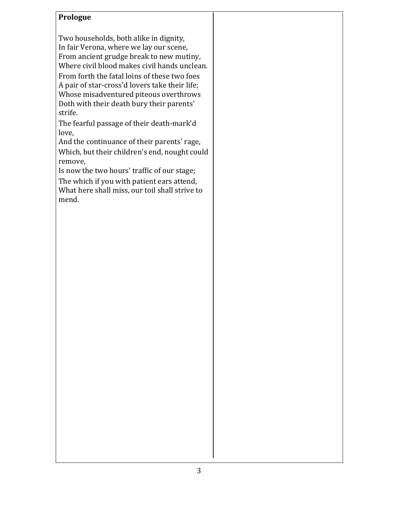#### **Prologue**

Two households, both alike in dignity, In fair Verona, where we lay our scene, From ancient grudge break to new mutiny, Where civil blood makes civil hands unclean.

From forth the fatal loins of these two foes A pair of star-cross'd lovers take their life; Whose misadventured piteous overthrows Doth with their death bury their parents' strife. 

The fearful passage of their death-mark'd love,

And the continuance of their parents' rage, Which, but their children's end, nought could remove,

Is now the two hours' traffic of our stage; The which if you with patient ears attend, What here shall miss, our toil shall strive to mend.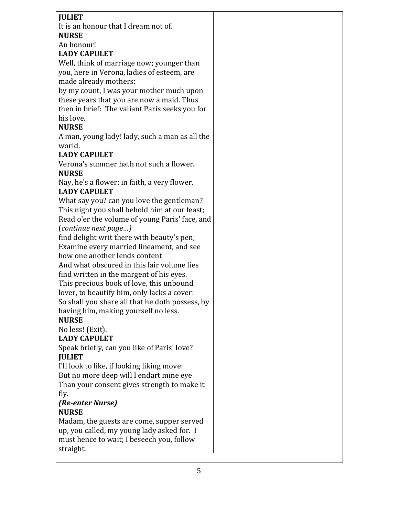### **JULIET**

It is an honour that I dream not of. **NURSE**

An honour!

#### **LADY CAPULET**

Well, think of marriage now; younger than you, here in Verona, ladies of esteem, are made already mothers:

by my count, I was your mother much upon these years that you are now a maid. Thus then in brief: The valiant Paris seeks you for his love.

## **NURSE**

A man, young lady! lady, such a man as all the world.

## **LADY CAPULET**

Verona's summer hath not such a flower. **NURSE**

Nay, he's a flower; in faith, a very flower. **LADY CAPULET**

What say you? can you love the gentleman? This night you shall behold him at our feast; Read o'er the volume of young Paris' face, and (*continue next page…)*

find delight writ there with beauty's pen; Examine every married lineament, and see how one another lends content

And what obscured in this fair volume lies find written in the margent of his eyes. This precious book of love, this unbound lover, to beautify him, only lacks a cover:

So shall you share all that he doth possess, by having him, making yourself no less.

## **NURSE**

No less! (Exit).

## **LADY CAPULET**

Speak briefly, can you like of Paris' love? **JULIET**

I'll look to like, if looking liking move: But no more deep will I endart mine eye Than your consent gives strength to make it fly.

#### *(Re-enter Nurse)* **NURSE**

Madam, the guests are come, supper served up, you called, my young lady asked for. I must hence to wait; I beseech you, follow straight.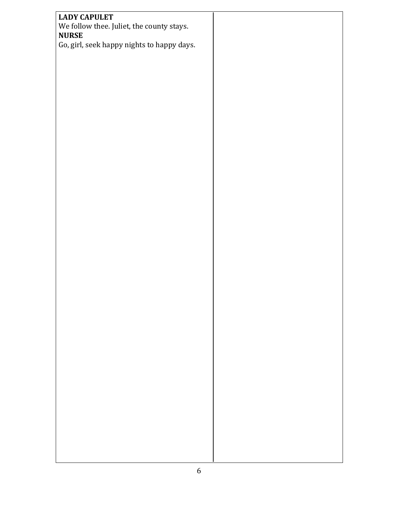| <b>LADY CAPULET</b>                                       |  |
|-----------------------------------------------------------|--|
| We follow thee. Juliet, the county stays.<br><b>NURSE</b> |  |
| Go, girl, seek happy nights to happy days.                |  |
|                                                           |  |
|                                                           |  |
|                                                           |  |
|                                                           |  |
|                                                           |  |
|                                                           |  |
|                                                           |  |
|                                                           |  |
|                                                           |  |
|                                                           |  |
|                                                           |  |
|                                                           |  |
|                                                           |  |
|                                                           |  |
|                                                           |  |
|                                                           |  |
|                                                           |  |
|                                                           |  |
|                                                           |  |
|                                                           |  |
|                                                           |  |
|                                                           |  |
|                                                           |  |
|                                                           |  |
|                                                           |  |
|                                                           |  |
|                                                           |  |
|                                                           |  |
|                                                           |  |
|                                                           |  |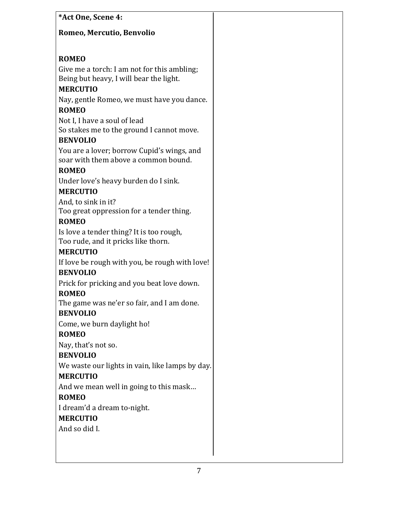| *Act One, Scene 4:                                                                                        |  |
|-----------------------------------------------------------------------------------------------------------|--|
| Romeo, Mercutio, Benvolio                                                                                 |  |
|                                                                                                           |  |
| <b>ROMEO</b>                                                                                              |  |
| Give me a torch: I am not for this ambling;<br>Being but heavy, I will bear the light.<br><b>MERCUTIO</b> |  |
| Nay, gentle Romeo, we must have you dance.<br><b>ROMEO</b>                                                |  |
| Not I, I have a soul of lead<br>So stakes me to the ground I cannot move.<br><b>BENVOLIO</b>              |  |
| You are a lover; borrow Cupid's wings, and<br>soar with them above a common bound.<br><b>ROMEO</b>        |  |
| Under love's heavy burden do I sink.<br><b>MERCUTIO</b>                                                   |  |
| And, to sink in it?<br>Too great oppression for a tender thing.                                           |  |
| <b>ROMEO</b>                                                                                              |  |
| Is love a tender thing? It is too rough,<br>Too rude, and it pricks like thorn.<br><b>MERCUTIO</b>        |  |
| If love be rough with you, be rough with love!<br><b>BENVOLIO</b>                                         |  |
| Prick for pricking and you beat love down.<br><b>ROMEO</b>                                                |  |
| The game was ne'er so fair, and I am done.<br><b>BENVOLIO</b>                                             |  |
| Come, we burn daylight ho!<br><b>ROMEO</b>                                                                |  |
| Nay, that's not so.                                                                                       |  |
| <b>BENVOLIO</b>                                                                                           |  |
| We waste our lights in vain, like lamps by day.<br><b>MERCUTIO</b>                                        |  |
| And we mean well in going to this mask                                                                    |  |
| <b>ROMEO</b><br>I dream'd a dream to-night.                                                               |  |
| <b>MERCUTIO</b>                                                                                           |  |
| And so did I.                                                                                             |  |
|                                                                                                           |  |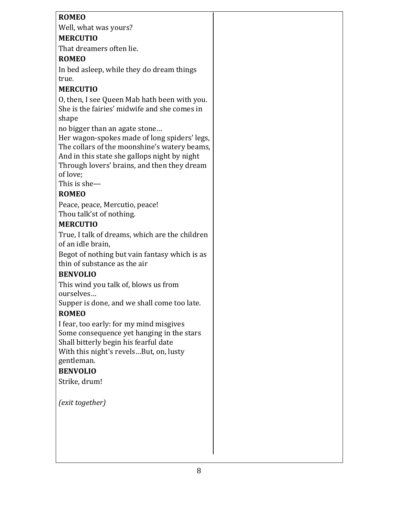## **ROMEO**

Well, what was yours?

## **MERCUTIO**

That dreamers often lie.

## **ROMEO**

In bed asleep, while they do dream things true.

# **MERCUTIO**

O, then, I see Queen Mab hath been with you. She is the fairies' midwife and she comes in shape

no bigger than an agate stone...

Her wagon-spokes made of long spiders' legs, The collars of the moonshine's watery beams, And in this state she gallops night by night Through lovers' brains, and then they dream of love:

This is she $-$ 

# **ROMEO**

Peace, peace, Mercutio, peace! Thou talk'st of nothing.

# **MERCUTIO**

True, I talk of dreams, which are the children of an idle brain,

Begot of nothing but vain fantasy which is as thin of substance as the air

## **BENVOLIO**

This wind you talk of, blows us from ourselves…

Supper is done, and we shall come too late.

# **ROMEO**

I fear, too early: for my mind misgives Some consequence yet hanging in the stars Shall bitterly begin his fearful date With this night's revels...But, on, lusty gentleman.

## **BENVOLIO**

Strike, drum!

*(exit together)*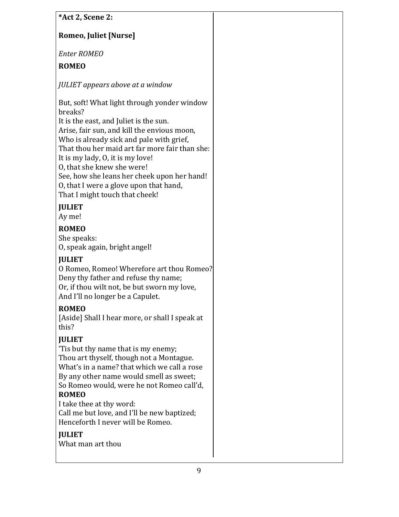| *Act 2, Scene 2:                                                                                                                                                                                                                                                                                                                                                                                                                           |
|--------------------------------------------------------------------------------------------------------------------------------------------------------------------------------------------------------------------------------------------------------------------------------------------------------------------------------------------------------------------------------------------------------------------------------------------|
| Romeo, Juliet [Nurse]                                                                                                                                                                                                                                                                                                                                                                                                                      |
| <b>Enter ROMEO</b>                                                                                                                                                                                                                                                                                                                                                                                                                         |
| <b>ROMEO</b>                                                                                                                                                                                                                                                                                                                                                                                                                               |
| JULIET appears above at a window                                                                                                                                                                                                                                                                                                                                                                                                           |
| But, soft! What light through yonder window<br>breaks?<br>It is the east, and Juliet is the sun.<br>Arise, fair sun, and kill the envious moon,<br>Who is already sick and pale with grief,<br>That thou her maid art far more fair than she:<br>It is my lady, 0, it is my love!<br>O, that she knew she were!<br>See, how she leans her cheek upon her hand!<br>O, that I were a glove upon that hand,<br>That I might touch that cheek! |
| <b>JULIET</b><br>Ay me!                                                                                                                                                                                                                                                                                                                                                                                                                    |
| <b>ROMEO</b><br>She speaks:<br>O, speak again, bright angel!<br><b>JULIET</b>                                                                                                                                                                                                                                                                                                                                                              |
| O Romeo, Romeo! Wherefore art thou Romeo?<br>Deny thy father and refuse thy name;<br>Or, if thou wilt not, be but sworn my love,<br>And I'll no longer be a Capulet.                                                                                                                                                                                                                                                                       |
| <b>ROMEO</b><br>[Aside] Shall I hear more, or shall I speak at<br>this?                                                                                                                                                                                                                                                                                                                                                                    |
| <b>JULIET</b><br>'Tis but thy name that is my enemy;<br>Thou art thyself, though not a Montague.<br>What's in a name? that which we call a rose<br>By any other name would smell as sweet;<br>So Romeo would, were he not Romeo call'd,<br><b>ROMEO</b><br>I take thee at thy word:<br>Call me but love, and I'll be new baptized;<br>Henceforth I never will be Romeo.<br><b>JULIET</b><br>What man art thou                              |
|                                                                                                                                                                                                                                                                                                                                                                                                                                            |
| 9                                                                                                                                                                                                                                                                                                                                                                                                                                          |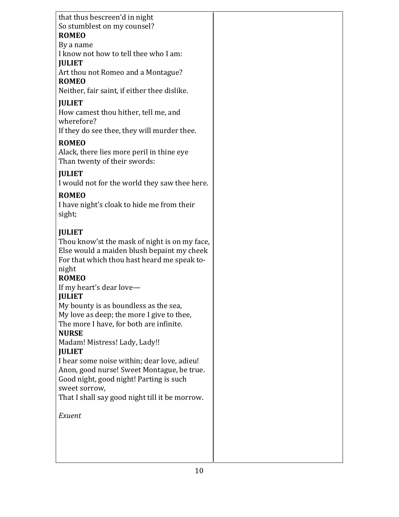| that thus bescreen'd in night                                   |  |
|-----------------------------------------------------------------|--|
| So stumblest on my counsel?                                     |  |
| <b>ROMEO</b>                                                    |  |
| By a name                                                       |  |
| I know not how to tell thee who I am:                           |  |
| <b>JULIET</b>                                                   |  |
| Art thou not Romeo and a Montague?<br><b>ROMEO</b>              |  |
| Neither, fair saint, if either thee dislike.                    |  |
| <b>JULIET</b>                                                   |  |
| How camest thou hither, tell me, and                            |  |
| wherefore?                                                      |  |
| If they do see thee, they will murder thee.                     |  |
| <b>ROMEO</b>                                                    |  |
| Alack, there lies more peril in thine eye                       |  |
| Than twenty of their swords:                                    |  |
| <b>JULIET</b>                                                   |  |
| I would not for the world they saw thee here.                   |  |
| <b>ROMEO</b>                                                    |  |
| I have night's cloak to hide me from their                      |  |
| sight;                                                          |  |
|                                                                 |  |
| <b>JULIET</b>                                                   |  |
| Thou know'st the mask of night is on my face,                   |  |
| Else would a maiden blush bepaint my cheek                      |  |
| For that which thou hast heard me speak to-                     |  |
| night                                                           |  |
| <b>ROMEO</b>                                                    |  |
| If my heart's dear love-<br><b>JULIET</b>                       |  |
| My bounty is as boundless as the sea,                           |  |
| My love as deep; the more I give to thee,                       |  |
| The more I have, for both are infinite.                         |  |
| <b>NURSE</b>                                                    |  |
| Madam! Mistress! Lady, Lady!!                                   |  |
| <b>JULIET</b>                                                   |  |
| I hear some noise within; dear love, adieu!                     |  |
| Anon, good nurse! Sweet Montague, be true.                      |  |
| Good night, good night! Parting is such                         |  |
| sweet sorrow,<br>That I shall say good night till it be morrow. |  |
|                                                                 |  |
| Exuent                                                          |  |
|                                                                 |  |
|                                                                 |  |
|                                                                 |  |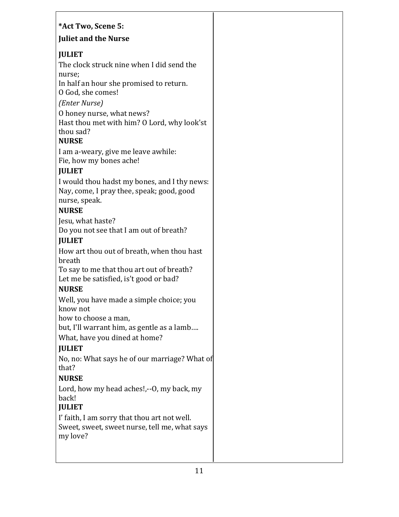## **\*Act Two, Scene 5:**

#### **Juliet and the Nurse**

## **JULIET**

The clock struck nine when I did send the nurse;

In half an hour she promised to return. O God, she comes!

*(Enter Nurse)*

O honey nurse, what news?

Hast thou met with him? O Lord, why look'st thou sad?

## **NURSE**

I am a-weary, give me leave awhile: Fie, how my bones ache!

## **JULIET**

I would thou hadst my bones, and I thy news: Nay, come, I pray thee, speak; good, good nurse, speak.

## **NURSE**

Jesu, what haste? Do you not see that I am out of breath?

## **JULIET**

How art thou out of breath, when thou hast breath

To say to me that thou art out of breath? Let me be satisfied, is't good or bad?

# **NURSE**

Well, you have made a simple choice; you know not

how to choose a man,

but, I'll warrant him, as gentle as a lamb....

What, have you dined at home?

# **JULIET**

No, no: What says he of our marriage? What of that?

# **NURSE**

Lord, how my head aches!,--O, my back, my back!

# **JULIET**

I' faith, I am sorry that thou art not well. Sweet, sweet, sweet nurse, tell me, what says my love?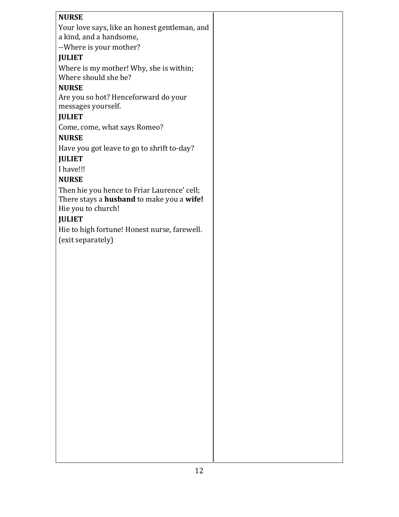| <b>NURSE</b>                                                             |  |
|--------------------------------------------------------------------------|--|
|                                                                          |  |
| Your love says, like an honest gentleman, and<br>a kind, and a handsome, |  |
|                                                                          |  |
| --Where is your mother?                                                  |  |
| <b>JULIET</b>                                                            |  |
| Where is my mother! Why, she is within;                                  |  |
| Where should she be?                                                     |  |
| <b>NURSE</b>                                                             |  |
| Are you so hot? Henceforward do your                                     |  |
| messages yourself.                                                       |  |
| <b>JULIET</b>                                                            |  |
| Come, come, what says Romeo?                                             |  |
| <b>NURSE</b>                                                             |  |
| Have you got leave to go to shrift to-day?                               |  |
| <b>JULIET</b>                                                            |  |
| I have!!!                                                                |  |
| <b>NURSE</b>                                                             |  |
| Then hie you hence to Friar Laurence' cell;                              |  |
| There stays a husband to make you a wife!                                |  |
| Hie you to church!                                                       |  |
| <b>JULIET</b>                                                            |  |
| Hie to high fortune! Honest nurse, farewell.                             |  |
| (exit separately)                                                        |  |
|                                                                          |  |
|                                                                          |  |
|                                                                          |  |
|                                                                          |  |
|                                                                          |  |
|                                                                          |  |
|                                                                          |  |
|                                                                          |  |
|                                                                          |  |
|                                                                          |  |
|                                                                          |  |
|                                                                          |  |
|                                                                          |  |
|                                                                          |  |
|                                                                          |  |
|                                                                          |  |
|                                                                          |  |
|                                                                          |  |
|                                                                          |  |
|                                                                          |  |
|                                                                          |  |
|                                                                          |  |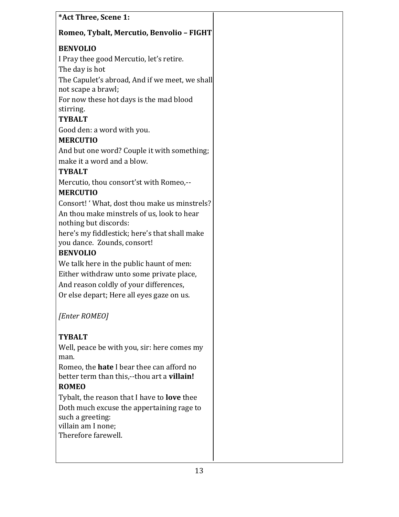| *Act Three, Scene 1:                                                         |  |
|------------------------------------------------------------------------------|--|
| Romeo, Tybalt, Mercutio, Benvolio - FIGHT                                    |  |
| <b>BENVOLIO</b>                                                              |  |
| I Pray thee good Mercutio, let's retire.                                     |  |
| The day is hot                                                               |  |
| The Capulet's abroad, And if we meet, we shall                               |  |
| not scape a brawl;                                                           |  |
| For now these hot days is the mad blood                                      |  |
| stirring.                                                                    |  |
| <b>TYBALT</b>                                                                |  |
| Good den: a word with you.                                                   |  |
| <b>MERCUTIO</b>                                                              |  |
| And but one word? Couple it with something;                                  |  |
| make it a word and a blow.                                                   |  |
| <b>TYBALT</b>                                                                |  |
| Mercutio, thou consort'st with Romeo,--                                      |  |
| <b>MERCUTIO</b>                                                              |  |
| Consort! 'What, dost thou make us minstrels?                                 |  |
| An thou make minstrels of us, look to hear<br>nothing but discords:          |  |
| here's my fiddlestick; here's that shall make<br>you dance. Zounds, consort! |  |
| <b>BENVOLIO</b>                                                              |  |
| We talk here in the public haunt of men:                                     |  |
| Either withdraw unto some private place,                                     |  |
| And reason coldly of your differences,                                       |  |
| Or else depart; Here all eyes gaze on us.                                    |  |
|                                                                              |  |
| [Enter ROMEO]                                                                |  |
| <b>TYBALT</b>                                                                |  |
| Well, peace be with you, sir: here comes my                                  |  |
| man.                                                                         |  |
| Romeo, the <b>hate</b> I bear thee can afford no                             |  |
| better term than this,--thou art a villain!                                  |  |
| <b>ROMEO</b>                                                                 |  |
| Tybalt, the reason that I have to <b>love</b> thee                           |  |
| Doth much excuse the appertaining rage to                                    |  |
| such a greeting:                                                             |  |
| villain am I none;<br>Therefore farewell.                                    |  |
|                                                                              |  |
|                                                                              |  |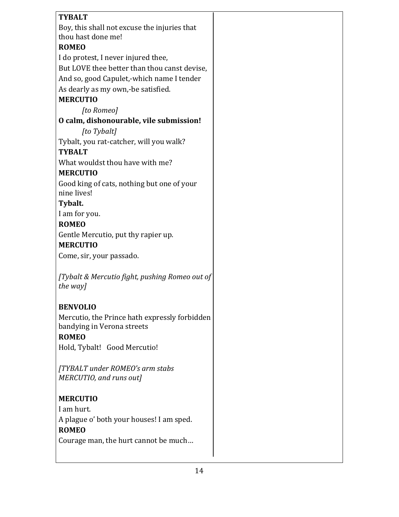| <b>TYBALT</b>                                  |  |
|------------------------------------------------|--|
| Boy, this shall not excuse the injuries that   |  |
| thou hast done me!                             |  |
| <b>ROMEO</b>                                   |  |
| I do protest, I never injured thee,            |  |
| But LOVE thee better than thou canst devise,   |  |
| And so, good Capulet,-which name I tender      |  |
| As dearly as my own,-be satisfied.             |  |
| <b>MERCUTIO</b>                                |  |
| [to Romeo]                                     |  |
| O calm, dishonourable, vile submission!        |  |
| [to Tybalt]                                    |  |
| Tybalt, you rat-catcher, will you walk?        |  |
| <b>TYBALT</b>                                  |  |
| What wouldst thou have with me?                |  |
| <b>MERCUTIO</b>                                |  |
| Good king of cats, nothing but one of your     |  |
| nine lives!                                    |  |
| Tybalt.                                        |  |
| I am for you.                                  |  |
| <b>ROMEO</b>                                   |  |
| Gentle Mercutio, put thy rapier up.            |  |
| <b>MERCUTIO</b>                                |  |
| Come, sir, your passado.                       |  |
|                                                |  |
| [Tybalt & Mercutio fight, pushing Romeo out of |  |
| the way]                                       |  |
|                                                |  |
| <b>BENVOLIO</b>                                |  |
| Mercutio, the Prince hath expressly forbidden  |  |
| bandying in Verona streets                     |  |
| <b>ROMEO</b>                                   |  |
| Hold, Tybalt! Good Mercutio!                   |  |
|                                                |  |
| [TYBALT under ROMEO's arm stabs                |  |
| MERCUTIO, and runs out]                        |  |
|                                                |  |
| <b>MERCUTIO</b>                                |  |
| I am hurt.                                     |  |
| A plague o' both your houses! I am sped.       |  |
| <b>ROMEO</b>                                   |  |
| Courage man, the hurt cannot be much           |  |
|                                                |  |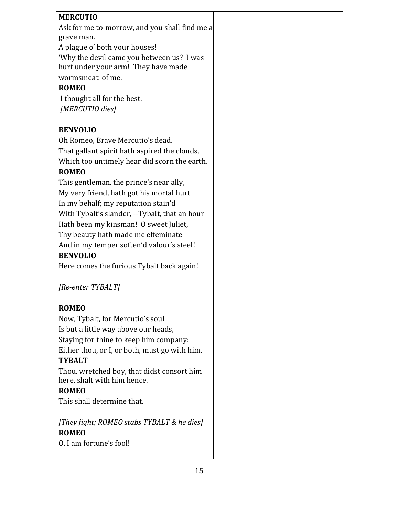| <b>MERCUTIO</b>                                                                  |
|----------------------------------------------------------------------------------|
| Ask for me to-morrow, and you shall find me a<br>grave man.                      |
| A plague o' both your houses!                                                    |
| 'Why the devil came you between us? I was<br>hurt under your arm! They have made |
| wormsmeat of me.                                                                 |
| <b>ROMEO</b>                                                                     |
| I thought all for the best.                                                      |
| [MERCUTIO dies]                                                                  |
|                                                                                  |
| <b>BENVOLIO</b>                                                                  |
| Oh Romeo, Brave Mercutio's dead.                                                 |
| That gallant spirit hath aspired the clouds,                                     |
| Which too untimely hear did scorn the earth.                                     |
| <b>ROMEO</b>                                                                     |
| This gentleman, the prince's near ally,                                          |
| My very friend, hath got his mortal hurt                                         |
| In my behalf; my reputation stain'd                                              |
| With Tybalt's slander, --Tybalt, that an hour                                    |
| Hath been my kinsman! O sweet Juliet,                                            |
| Thy beauty hath made me effeminate                                               |
| And in my temper soften'd valour's steel!                                        |
| <b>BENVOLIO</b>                                                                  |
| Here comes the furious Tybalt back again!                                        |

*[Re-enter TYBALT]*

## **ROMEO**

Now, Tybalt, for Mercutio's soul Is but a little way above our heads, Staying for thine to keep him company: Either thou, or I, or both, must go with him. **TYBALT**

Thou, wretched boy, that didst consort him here, shalt with him hence.

## **ROMEO**

This shall determine that.

[They fight; ROMEO stabs TYBALT & he dies] **ROMEO** O, I am fortune's fool!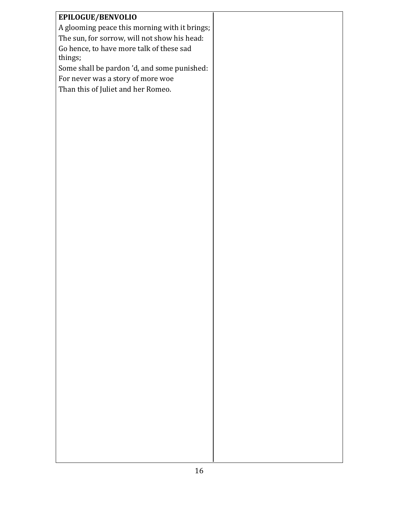| EPILOGUE/BENVOLIO                             |  |
|-----------------------------------------------|--|
| A glooming peace this morning with it brings; |  |
| The sun, for sorrow, will not show his head:  |  |
| Go hence, to have more talk of these sad      |  |
| things;                                       |  |
| Some shall be pardon 'd, and some punished:   |  |
| For never was a story of more woe             |  |
|                                               |  |
| Than this of Juliet and her Romeo.            |  |
|                                               |  |
|                                               |  |
|                                               |  |
|                                               |  |
|                                               |  |
|                                               |  |
|                                               |  |
|                                               |  |
|                                               |  |
|                                               |  |
|                                               |  |
|                                               |  |
|                                               |  |
|                                               |  |
|                                               |  |
|                                               |  |
|                                               |  |
|                                               |  |
|                                               |  |
|                                               |  |
|                                               |  |
|                                               |  |
|                                               |  |
|                                               |  |
|                                               |  |
|                                               |  |
|                                               |  |
|                                               |  |
|                                               |  |
|                                               |  |
|                                               |  |
|                                               |  |
|                                               |  |
|                                               |  |
|                                               |  |
|                                               |  |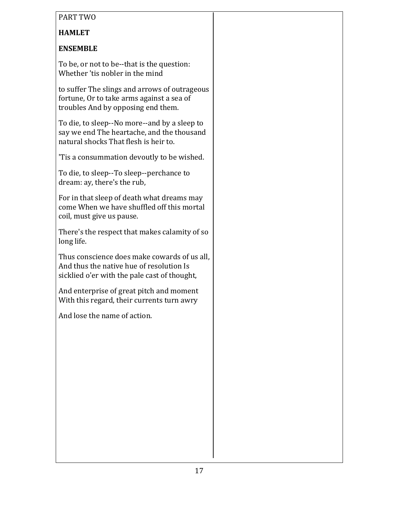#### PART TWO

# **HAMLET**

### **ENSEMBLE**

To be, or not to be--that is the question: Whether 'tis nobler in the mind

to suffer The slings and arrows of outrageous fortune, Or to take arms against a sea of troubles And by opposing end them.

To die, to sleep--No more--and by a sleep to say we end The heartache, and the thousand natural shocks That flesh is heir to.

'Tis a consummation devoutly to be wished.

To die, to sleep--To sleep--perchance to dream: ay, there's the rub,

For in that sleep of death what dreams may come When we have shuffled off this mortal coil, must give us pause.

There's the respect that makes calamity of so long life.

Thus conscience does make cowards of us all. And thus the native hue of resolution Is sicklied o'er with the pale cast of thought,

And enterprise of great pitch and moment With this regard, their currents turn awry

And lose the name of action.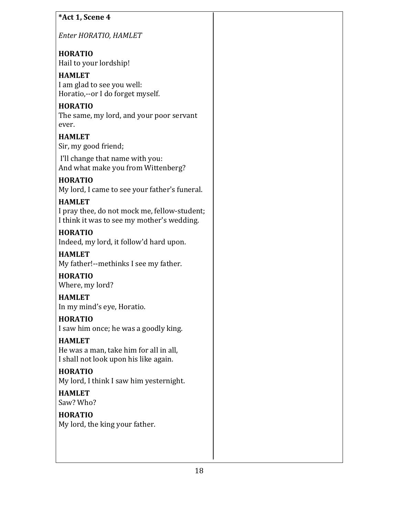| *Act 1, Scene 4       |  |
|-----------------------|--|
| Enter HORATIO, HAMLET |  |

### **HORATIO** Hail to your lordship!

**HAMLET** I am glad to see you well: Horatio,--or I do forget myself.

# **HORATIO**

The same, my lord, and your poor servant ever.

# **HAMLET**

Sir, my good friend;

I'll change that name with you: And what make you from Wittenberg?

# **HORATIO**

My lord, I came to see your father's funeral.

# **HAMLET**

I pray thee, do not mock me, fellow-student; I think it was to see my mother's wedding.

# **HORATIO**

Indeed, my lord, it follow'd hard upon.

# **HAMLET**

My father!--methinks I see my father.

# **HORATIO**

Where, my lord?

# **HAMLET**

In my mind's eye, Horatio.

# **HORATIO**

I saw him once; he was a goodly king.

# **HAMLET**

He was a man, take him for all in all, I shall not look upon his like again.

# **HORATIO**

My lord, I think I saw him yesternight.

#### **HAMLET** Saw? Who?

**HORATIO** My lord, the king your father.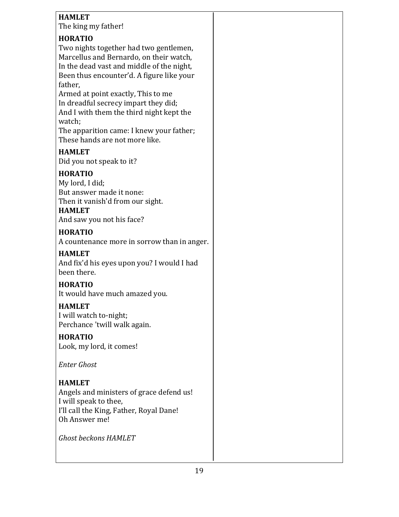### **HAMLET**

The king my father!

### **HORATIO**

Two nights together had two gentlemen, Marcellus and Bernardo, on their watch, In the dead vast and middle of the night, Been thus encounter'd. A figure like your father,

Armed at point exactly, This to me In dreadful secrecy impart they did; And I with them the third night kept the watch;

The apparition came: I knew your father; These hands are not more like.

#### **HAMLET**

Did you not speak to it?

### **HORATIO**

My lord, I did; But answer made it none: Then it vanish'd from our sight.

## **HAMLET**

And saw you not his face?

#### **HORATIO**

A countenance more in sorrow than in anger.

#### **HAMLET**

And fix'd his eyes upon you? I would I had been there.

#### **HORATIO**

It would have much amazed you.

#### **HAMLET**

I will watch to-night; Perchance 'twill walk again.

#### **HORATIO**

Look, my lord, it comes!

*Enter Ghost*

## **HAMLET**

Angels and ministers of grace defend us! I will speak to thee, I'll call the King, Father, Royal Dane! Oh Answer me!

*Ghost beckons HAMLET*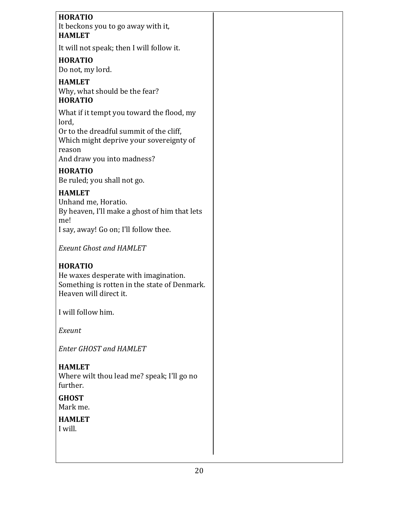# **HORATIO** It beckons you to go away with it, **HAMLET** It will not speak; then I will follow it. **HORATIO** Do not, my lord. **HAMLET** Why, what should be the fear? **HORATIO** What if it tempt you toward the flood, my lord, Or to the dreadful summit of the cliff, Which might deprive your sovereignty of reason And draw you into madness? **HORATIO** Be ruled; you shall not go. **HAMLET** Unhand me, Horatio. By heaven, I'll make a ghost of him that lets me! I say, away! Go on; I'll follow thee. **Exeunt Ghost and HAMLET HORATIO** He waxes desperate with imagination. Something is rotten in the state of Denmark. Heaven will direct it. I will follow him. *Exeunt Enter GHOST and HAMLET* **HAMLET** Where wilt thou lead me? speak; I'll go no further.

**GHOST**

Mark me.

**HAMLET** I will.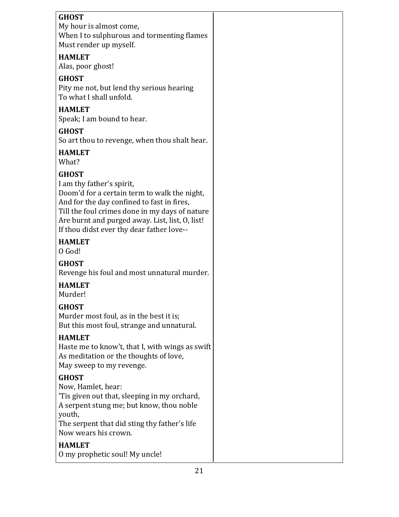| <b>GHOST</b><br>My hour is almost come,<br>When I to sulphurous and tormenting flames<br>Must render up myself. |  |
|-----------------------------------------------------------------------------------------------------------------|--|
| <b>HAMLET</b><br>Alas, poor ghost!                                                                              |  |
| <b>GHOST</b>                                                                                                    |  |
| Pity me not, but lend thy serious hearing<br>To what I shall unfold.                                            |  |
| <b>HAMLET</b>                                                                                                   |  |
| Speak; I am bound to hear.                                                                                      |  |
| <b>GHOST</b>                                                                                                    |  |
| So art thou to revenge, when thou shalt hear.                                                                   |  |
| <b>HAMLET</b><br>What?                                                                                          |  |
| <b>GHOST</b>                                                                                                    |  |
| I am thy father's spirit,                                                                                       |  |
| Doom'd for a certain term to walk the night,                                                                    |  |
| And for the day confined to fast in fires,                                                                      |  |
| Till the foul crimes done in my days of nature<br>Are burnt and purged away. List, list, O, list!               |  |
| If thou didst ever thy dear father love--                                                                       |  |
| <b>HAMLET</b>                                                                                                   |  |
| O God!                                                                                                          |  |
| <b>GHOST</b>                                                                                                    |  |
| Revenge his foul and most unnatural murder.                                                                     |  |
| <b>HAMLET</b>                                                                                                   |  |
| Murder!                                                                                                         |  |
| <b>GHOST</b>                                                                                                    |  |
| Murder most foul, as in the best it is;                                                                         |  |
| But this most foul, strange and unnatural.                                                                      |  |
| <b>HAMLET</b>                                                                                                   |  |
| Haste me to know't, that I, with wings as swift<br>As meditation or the thoughts of love,                       |  |
|                                                                                                                 |  |
|                                                                                                                 |  |
| May sweep to my revenge.                                                                                        |  |
| <b>GHOST</b>                                                                                                    |  |
| Now, Hamlet, hear:<br>'Tis given out that, sleeping in my orchard,                                              |  |
| A serpent stung me; but know, thou noble                                                                        |  |
| youth,                                                                                                          |  |
| The serpent that did sting thy father's life                                                                    |  |
| Now wears his crown.                                                                                            |  |
| <b>HAMLET</b><br>O my prophetic soul! My uncle!                                                                 |  |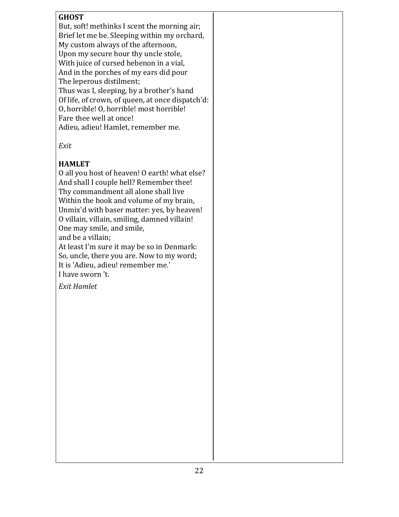#### **GHOST**

But, soft! methinks I scent the morning air; Brief let me be. Sleeping within my orchard, My custom always of the afternoon, Upon my secure hour thy uncle stole, With juice of cursed hebenon in a vial, And in the porches of my ears did pour The leperous distilment; Thus was I, sleeping, by a brother's hand Of life, of crown, of queen, at once dispatch'd: O, horrible! O, horrible! most horrible! Fare thee well at once! Adieu, adieu! Hamlet, remember me.

*Exit*

#### **HAMLET**

O all you host of heaven! O earth! what else? And shall I couple hell? Remember thee! Thy commandment all alone shall live Within the book and volume of my brain, Unmix'd with baser matter: yes, by heaven! O villain, villain, smiling, damned villain! One may smile, and smile, and be a villain; At least I'm sure it may be so in Denmark: So, uncle, there you are. Now to my word; It is 'Adieu, adieu! remember me.'

I have sworn 't.

*Exit Hamlet*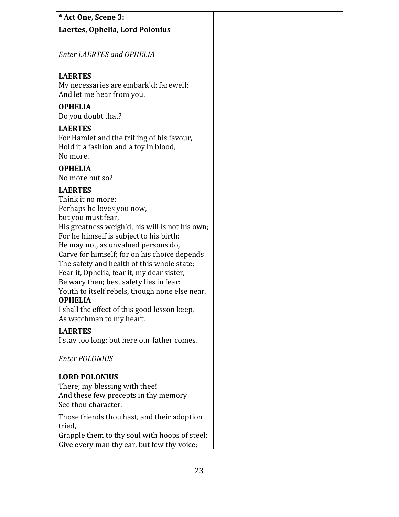| * Act One, Scene 3:                                                                      |
|------------------------------------------------------------------------------------------|
| Laertes, Ophelia, Lord Polonius                                                          |
|                                                                                          |
| <b>Enter LAERTES and OPHELIA</b>                                                         |
|                                                                                          |
| <b>LAERTES</b>                                                                           |
| My necessaries are embark'd: farewell:                                                   |
| And let me hear from you.                                                                |
| <b>OPHELIA</b>                                                                           |
| Do you doubt that?                                                                       |
| <b>LAERTES</b>                                                                           |
| For Hamlet and the trifling of his favour,<br>Hold it a fashion and a toy in blood,      |
| No more.                                                                                 |
| <b>OPHELIA</b>                                                                           |
| No more but so?                                                                          |
| <b>LAERTES</b>                                                                           |
| Think it no more;                                                                        |
| Perhaps he loves you now,                                                                |
| but you must fear,                                                                       |
| His greatness weigh'd, his will is not his own;                                          |
| For he himself is subject to his birth:                                                  |
| He may not, as unvalued persons do,                                                      |
| Carve for himself; for on his choice depends                                             |
| The safety and health of this whole state;<br>Fear it, Ophelia, fear it, my dear sister, |
| Be wary then; best safety lies in fear:                                                  |
| Youth to itself rebels, though none else near.                                           |
| <b>OPHELIA</b>                                                                           |
| I shall the effect of this good lesson keep,                                             |
| As watchman to my heart.                                                                 |
| <b>LAERTES</b>                                                                           |
| I stay too long: but here our father comes.                                              |
| <b>Enter POLONIUS</b>                                                                    |
|                                                                                          |
| <b>LORD POLONIUS</b>                                                                     |
| There; my blessing with thee!                                                            |
| And these few precepts in thy memory<br>See thou character.                              |
|                                                                                          |
| Those friends thou hast, and their adoption                                              |
| tried,<br>Grapple them to thy soul with hoops of steel;                                  |
| Give every man thy ear, but few thy voice;                                               |
|                                                                                          |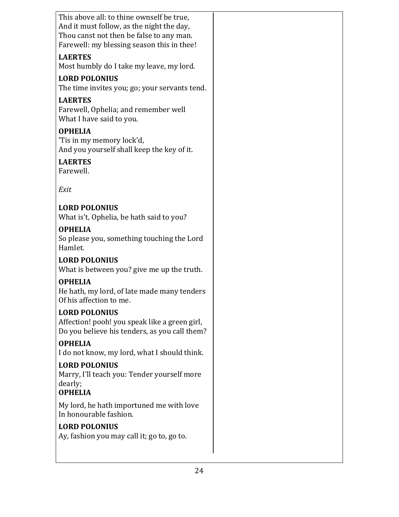| This above all: to thine ownself be true,                                             |  |
|---------------------------------------------------------------------------------------|--|
| And it must follow, as the night the day,<br>Thou canst not then be false to any man. |  |
| Farewell: my blessing season this in thee!                                            |  |
| <b>LAERTES</b>                                                                        |  |
| Most humbly do I take my leave, my lord.                                              |  |
| <b>LORD POLONIUS</b>                                                                  |  |
| The time invites you; go; your servants tend.                                         |  |
| <b>LAERTES</b>                                                                        |  |
| Farewell, Ophelia; and remember well<br>What I have said to you.                      |  |
| <b>OPHELIA</b>                                                                        |  |
| 'Tis in my memory lock'd,                                                             |  |
| And you yourself shall keep the key of it.                                            |  |
| <b>LAERTES</b><br>Farewell.                                                           |  |
| Exit                                                                                  |  |
| <b>LORD POLONIUS</b>                                                                  |  |
| What is't, Ophelia, be hath said to you?                                              |  |
| <b>OPHELIA</b>                                                                        |  |
| So please you, something touching the Lord                                            |  |
| Hamlet.                                                                               |  |
| <b>LORD POLONIUS</b><br>What is between you? give me up the truth.                    |  |
| <b>OPHELIA</b>                                                                        |  |
| He hath, my lord, of late made many tenders                                           |  |
| Of his affection to me.                                                               |  |
| <b>LORD POLONIUS</b>                                                                  |  |
| Affection! pooh! you speak like a green girl,                                         |  |
| Do you believe his tenders, as you call them?                                         |  |
| <b>OPHELIA</b>                                                                        |  |
| I do not know, my lord, what I should think.                                          |  |
| <b>LORD POLONIUS</b><br>Marry, I'll teach you: Tender yourself more                   |  |
| dearly;                                                                               |  |
| <b>OPHELIA</b>                                                                        |  |
| My lord, he hath importuned me with love                                              |  |
| In honourable fashion.                                                                |  |
| <b>LORD POLONIUS</b>                                                                  |  |
| Ay, fashion you may call it; go to, go to.                                            |  |
|                                                                                       |  |
|                                                                                       |  |
| 24                                                                                    |  |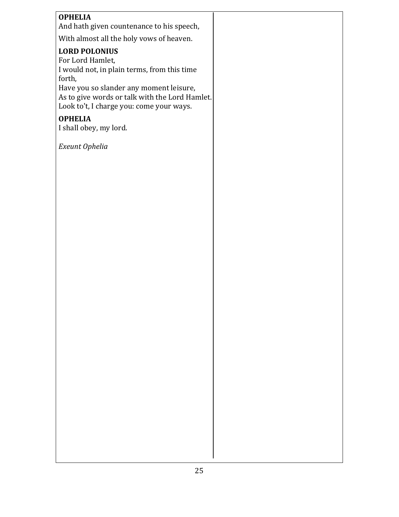### **OPHELIA**

And hath given countenance to his speech,

With almost all the holy vows of heaven.

#### **LORD POLONIUS**

For Lord Hamlet, I would not, in plain terms, from this time forth, Have you so slander any moment leisure, As to give words or talk with the Lord Hamlet. Look to't, I charge you: come your ways.

#### **OPHELIA**

I shall obey, my lord.

*Exeunt Ophelia*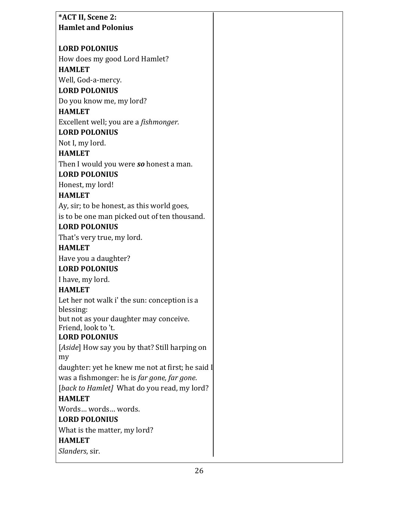| *ACT II, Scene 2:                                |  |
|--------------------------------------------------|--|
| <b>Hamlet and Polonius</b>                       |  |
|                                                  |  |
| <b>LORD POLONIUS</b>                             |  |
| How does my good Lord Hamlet?                    |  |
| <b>HAMLET</b>                                    |  |
| Well, God-a-mercy.                               |  |
| <b>LORD POLONIUS</b>                             |  |
| Do you know me, my lord?                         |  |
| <b>HAMLET</b>                                    |  |
| Excellent well; you are a <i>fishmonger</i> .    |  |
| <b>LORD POLONIUS</b>                             |  |
| Not I, my lord.                                  |  |
| <b>HAMLET</b>                                    |  |
| Then I would you were so honest a man.           |  |
| <b>LORD POLONIUS</b>                             |  |
| Honest, my lord!                                 |  |
| <b>HAMLET</b>                                    |  |
| Ay, sir; to be honest, as this world goes,       |  |
| is to be one man picked out of ten thousand.     |  |
| <b>LORD POLONIUS</b>                             |  |
| That's very true, my lord.                       |  |
| <b>HAMLET</b>                                    |  |
| Have you a daughter?                             |  |
| <b>LORD POLONIUS</b>                             |  |
| I have, my lord.                                 |  |
| <b>HAMLET</b>                                    |  |
| Let her not walk i' the sun: conception is a     |  |
| blessing:                                        |  |
| but not as your daughter may conceive.           |  |
| Friend, look to 't.                              |  |
| <b>LORD POLONIUS</b>                             |  |
| [Aside] How say you by that? Still harping on    |  |
| my                                               |  |
| daughter: yet he knew me not at first; he said I |  |
| was a fishmonger: he is far gone, far gone.      |  |
| [back to Hamlet] What do you read, my lord?      |  |
| <b>HAMLET</b>                                    |  |
| Words words words.                               |  |
| <b>LORD POLONIUS</b>                             |  |
| What is the matter, my lord?                     |  |
| <b>HAMLET</b>                                    |  |
| Slanders, sir.                                   |  |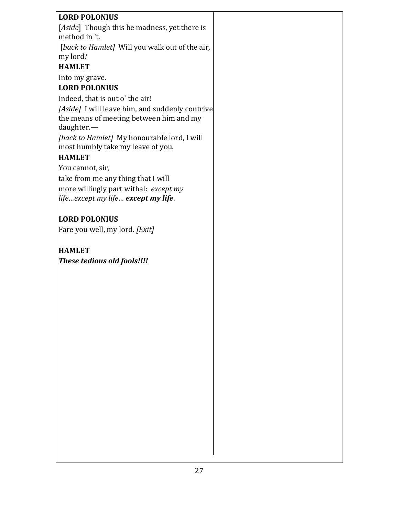| <b>LORD POLONIUS</b>                                                                                     |  |
|----------------------------------------------------------------------------------------------------------|--|
| [Aside] Though this be madness, yet there is                                                             |  |
| method in 't.                                                                                            |  |
| [back to Hamlet] Will you walk out of the air,                                                           |  |
| my lord?                                                                                                 |  |
| <b>HAMLET</b>                                                                                            |  |
| Into my grave.                                                                                           |  |
| <b>LORD POLONIUS</b>                                                                                     |  |
| Indeed, that is out o' the air!                                                                          |  |
| [Aside] I will leave him, and suddenly contrive<br>the means of meeting between him and my<br>daughter.- |  |
| [back to Hamlet] My honourable lord, I will<br>most humbly take my leave of you.                         |  |
| <b>HAMLET</b>                                                                                            |  |
| You cannot, sir,                                                                                         |  |
| take from me any thing that I will                                                                       |  |
| more willingly part withal: except my                                                                    |  |
| lifeexcept my life except my life.                                                                       |  |
| <b>LORD POLONIUS</b>                                                                                     |  |
| Fare you well, my lord. [Exit]                                                                           |  |
|                                                                                                          |  |
| <b>HAMLET</b>                                                                                            |  |
| These tedious old fools!!!!                                                                              |  |
|                                                                                                          |  |
|                                                                                                          |  |
|                                                                                                          |  |
|                                                                                                          |  |
|                                                                                                          |  |
|                                                                                                          |  |
|                                                                                                          |  |
|                                                                                                          |  |
|                                                                                                          |  |
|                                                                                                          |  |
|                                                                                                          |  |
|                                                                                                          |  |
|                                                                                                          |  |
|                                                                                                          |  |
|                                                                                                          |  |
|                                                                                                          |  |
|                                                                                                          |  |
|                                                                                                          |  |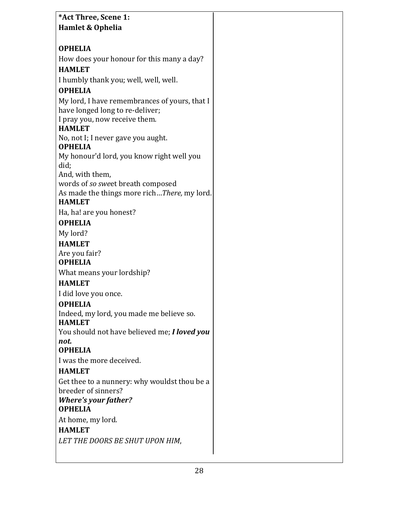| *Act Three, Scene 1:                                      |  |
|-----------------------------------------------------------|--|
| <b>Hamlet &amp; Ophelia</b>                               |  |
|                                                           |  |
| <b>OPHELIA</b>                                            |  |
| How does your honour for this many a day?                 |  |
| <b>HAMLET</b>                                             |  |
| I humbly thank you; well, well, well.                     |  |
| <b>OPHELIA</b>                                            |  |
| My lord, I have remembrances of yours, that I             |  |
| have longed long to re-deliver;                           |  |
| I pray you, now receive them.                             |  |
| <b>HAMLET</b>                                             |  |
| No, not I; I never gave you aught.<br><b>OPHELIA</b>      |  |
| My honour'd lord, you know right well you                 |  |
| did;                                                      |  |
| And, with them,                                           |  |
| words of so sweet breath composed                         |  |
| As made the things more richThere, my lord.               |  |
| <b>HAMLET</b>                                             |  |
| Ha, ha! are you honest?                                   |  |
| <b>OPHELIA</b>                                            |  |
| My lord?                                                  |  |
| <b>HAMLET</b>                                             |  |
| Are you fair?                                             |  |
| <b>OPHELIA</b>                                            |  |
| What means your lordship?                                 |  |
| <b>HAMLET</b>                                             |  |
| I did love you once.                                      |  |
| <b>OPHELIA</b>                                            |  |
| Indeed, my lord, you made me believe so.<br><b>HAMLET</b> |  |
| You should not have believed me; I loved you              |  |
| not.                                                      |  |
| <b>OPHELIA</b>                                            |  |
| I was the more deceived.                                  |  |
| <b>HAMLET</b>                                             |  |
| Get thee to a nunnery: why wouldst thou be a              |  |
| breeder of sinners?                                       |  |
| <b>Where's your father?</b>                               |  |
| <b>OPHELIA</b>                                            |  |
| At home, my lord.                                         |  |
| <b>HAMLET</b>                                             |  |
| LET THE DOORS BE SHUT UPON HIM,                           |  |
|                                                           |  |

 $\mathsf{L}$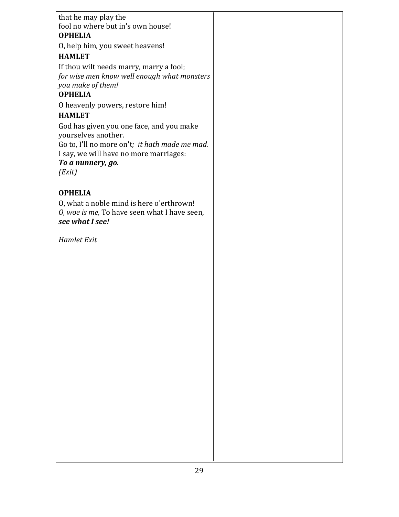# that he may play the fool no where but in's own house! **OPHELIA** O, help him, you sweet heavens! **HAMLET** If thou wilt needs marry, marry a fool; for wise men know well enough what monsters *you make of them!*  **OPHELIA** O heavenly powers, restore him! **HAMLET** God has given you one face, and you make yourselves another. Go to, I'll no more on't; it hath made me mad. I say, we will have no more marriages: To a nunnery, go. *(Exit)* **OPHELIA** O, what a noble mind is here o'erthrown! *O*, woe is me, To have seen what I have seen, *see what I see! Hamlet Exit*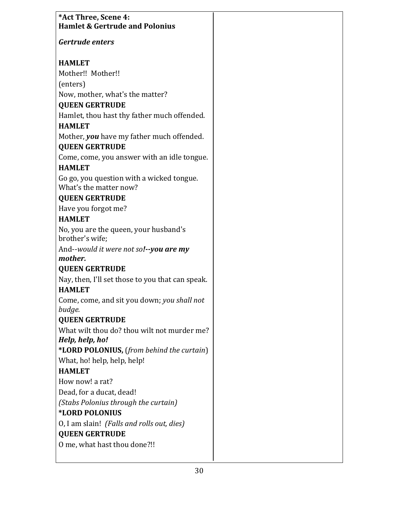| *Act Three, Scene 4:<br><b>Hamlet &amp; Gertrude and Polonius</b>   |  |
|---------------------------------------------------------------------|--|
| Gertrude enters                                                     |  |
| <b>HAMLET</b>                                                       |  |
| Mother!! Mother!!                                                   |  |
| (enters)                                                            |  |
| Now, mother, what's the matter?                                     |  |
| <b>QUEEN GERTRUDE</b>                                               |  |
| Hamlet, thou hast thy father much offended.                         |  |
| <b>HAMLET</b>                                                       |  |
| Mother, you have my father much offended.<br><b>QUEEN GERTRUDE</b>  |  |
| Come, come, you answer with an idle tongue.                         |  |
| <b>HAMLET</b>                                                       |  |
| Go go, you question with a wicked tongue.<br>What's the matter now? |  |
| <b>QUEEN GERTRUDE</b>                                               |  |
| Have you forgot me?                                                 |  |
| <b>HAMLET</b>                                                       |  |
| No, you are the queen, your husband's<br>brother's wife;            |  |
| And--would it were not sol--you are my                              |  |
| mother.                                                             |  |
| <b>QUEEN GERTRUDE</b>                                               |  |
| Nay, then, I'll set those to you that can speak.<br><b>HAMLET</b>   |  |
| Come, come, and sit you down; you shall not<br>budge.               |  |
| <b>QUEEN GERTRUDE</b>                                               |  |
| What wilt thou do? thou wilt not murder me?<br>Help, help, ho!      |  |
| *LORD POLONIUS, (from behind the curtain)                           |  |
| What, ho! help, help, help!                                         |  |
| <b>HAMLET</b>                                                       |  |
| How now! a rat?                                                     |  |
| Dead, for a ducat, dead!                                            |  |
| (Stabs Polonius through the curtain)                                |  |
| *LORD POLONIUS                                                      |  |
| 0, I am slain! (Falls and rolls out, dies)                          |  |
| <b>QUEEN GERTRUDE</b>                                               |  |
| O me, what hast thou done?!!                                        |  |
|                                                                     |  |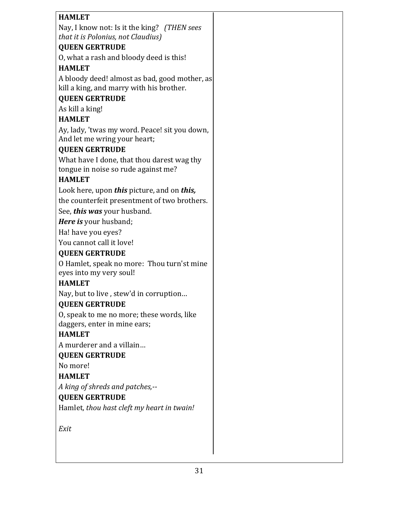| <b>HAMLET</b>                                                                 |
|-------------------------------------------------------------------------------|
| Nay, I know not: Is it the king? (THEN sees                                   |
| that it is Polonius, not Claudius)                                            |
| <b>QUEEN GERTRUDE</b>                                                         |
| O, what a rash and bloody deed is this!                                       |
| <b>HAMLET</b>                                                                 |
| A bloody deed! almost as bad, good mother, as                                 |
| kill a king, and marry with his brother.                                      |
| <b>QUEEN GERTRUDE</b>                                                         |
| As kill a king!                                                               |
| <b>HAMLET</b>                                                                 |
| Ay, lady, 'twas my word. Peace! sit you down,<br>And let me wring your heart; |
| <b>QUEEN GERTRUDE</b>                                                         |
| What have I done, that thou darest wag thy                                    |
| tongue in noise so rude against me?                                           |
| <b>HAMLET</b>                                                                 |
| Look here, upon this picture, and on this,                                    |
| the counterfeit presentment of two brothers.                                  |
| See, this was your husband.                                                   |
| <b>Here is</b> your husband;                                                  |
| Ha! have you eyes?                                                            |
| You cannot call it love!                                                      |
| <b>QUEEN GERTRUDE</b>                                                         |
| O Hamlet, speak no more: Thou turn'st mine                                    |
| eyes into my very soul!                                                       |
| <b>HAMLET</b>                                                                 |
| Nay, but to live, stew'd in corruption                                        |
| <b>QUEEN GERTRUDE</b>                                                         |
| O, speak to me no more; these words, like                                     |
| daggers, enter in mine ears;                                                  |
| <b>HAMLET</b>                                                                 |
| A murderer and a villain                                                      |
| <b>QUEEN GERTRUDE</b>                                                         |
| No more!                                                                      |
| <b>HAMLET</b>                                                                 |
| A king of shreds and patches,--                                               |
| <b>QUEEN GERTRUDE</b>                                                         |
| Hamlet, thou hast cleft my heart in twain!                                    |
|                                                                               |
| Exit                                                                          |
|                                                                               |
|                                                                               |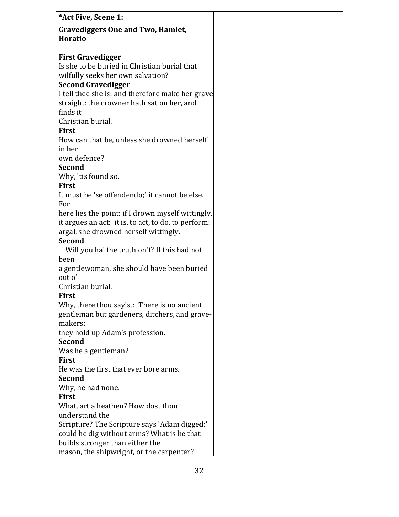| *Act Five, Scene 1:                                  |  |
|------------------------------------------------------|--|
| <b>Gravediggers One and Two, Hamlet,</b>             |  |
| <b>Horatio</b>                                       |  |
|                                                      |  |
| <b>First Gravedigger</b>                             |  |
| Is she to be buried in Christian burial that         |  |
| wilfully seeks her own salvation?                    |  |
| <b>Second Gravedigger</b>                            |  |
| I tell thee she is: and therefore make her grave     |  |
| straight: the crowner hath sat on her, and           |  |
| finds it                                             |  |
| Christian burial.                                    |  |
| <b>First</b>                                         |  |
| How can that be, unless she drowned herself          |  |
| in her                                               |  |
| own defence?                                         |  |
| <b>Second</b>                                        |  |
| Why, 'tis found so.                                  |  |
| <b>First</b>                                         |  |
| It must be 'se offendendo;' it cannot be else.       |  |
| For                                                  |  |
| here lies the point: if I drown myself wittingly,    |  |
| it argues an act: it is, to act, to do, to perform:  |  |
| argal, she drowned herself wittingly.                |  |
| <b>Second</b>                                        |  |
| Will you ha' the truth on't? If this had not         |  |
| been                                                 |  |
| a gentlewoman, she should have been buried<br>out o' |  |
| Christian burial.                                    |  |
| <b>First</b>                                         |  |
| Why, there thou say'st: There is no ancient          |  |
| gentleman but gardeners, ditchers, and grave-        |  |
| makers:                                              |  |
| they hold up Adam's profession.                      |  |
| <b>Second</b>                                        |  |
| Was he a gentleman?                                  |  |
| <b>First</b>                                         |  |
| He was the first that ever bore arms.                |  |
| <b>Second</b>                                        |  |
| Why, he had none.                                    |  |
| <b>First</b>                                         |  |
| What, art a heathen? How dost thou                   |  |
| understand the                                       |  |
| Scripture? The Scripture says 'Adam digged:'         |  |
| could he dig without arms? What is he that           |  |
| builds stronger than either the                      |  |
| mason, the shipwright, or the carpenter?             |  |
|                                                      |  |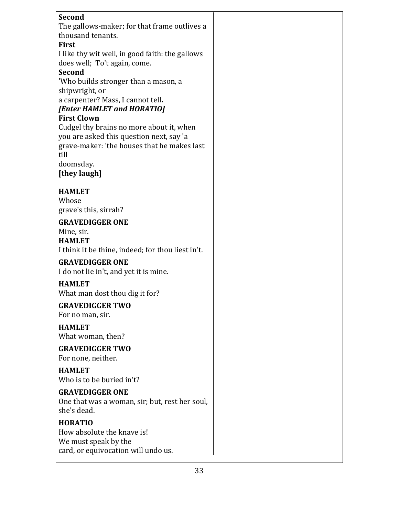| <b>Second</b>                                       |  |
|-----------------------------------------------------|--|
| The gallows-maker; for that frame outlives a        |  |
| thousand tenants.                                   |  |
| <b>First</b>                                        |  |
| I like thy wit well, in good faith: the gallows     |  |
| does well; To't again, come.                        |  |
| <b>Second</b>                                       |  |
| 'Who builds stronger than a mason, a                |  |
| shipwright, or<br>a carpenter? Mass, I cannot tell. |  |
| [Enter HAMLET and HORATIO]                          |  |
| <b>First Clown</b>                                  |  |
| Cudgel thy brains no more about it, when            |  |
| you are asked this question next, say 'a            |  |
| grave-maker: 'the houses that he makes last         |  |
| till                                                |  |
| doomsday.                                           |  |
| [they laugh]                                        |  |
|                                                     |  |
| <b>HAMLET</b>                                       |  |
| Whose                                               |  |
| grave's this, sirrah?                               |  |
| <b>GRAVEDIGGER ONE</b>                              |  |
| Mine, sir.                                          |  |
| <b>HAMLET</b>                                       |  |
| I think it be thine, indeed; for thou liest in't.   |  |
| <b>GRAVEDIGGER ONE</b>                              |  |
| I do not lie in't, and yet it is mine.              |  |
| <b>HAMLET</b>                                       |  |
| What man dost thou dig it for?                      |  |
| <b>GRAVEDIGGER TWO</b>                              |  |
| For no man, sir.                                    |  |
| <b>HAMLET</b>                                       |  |
| What woman, then?                                   |  |
| <b>GRAVEDIGGER TWO</b>                              |  |
| For none, neither.                                  |  |
|                                                     |  |
| <b>HAMLET</b><br>Who is to be buried in't?          |  |
|                                                     |  |
| <b>GRAVEDIGGER ONE</b>                              |  |
| One that was a woman, sir; but, rest her soul,      |  |
| she's dead.                                         |  |
| <b>HORATIO</b>                                      |  |
| How absolute the knave is!                          |  |
| We must speak by the                                |  |
| card, or equivocation will undo us.                 |  |
|                                                     |  |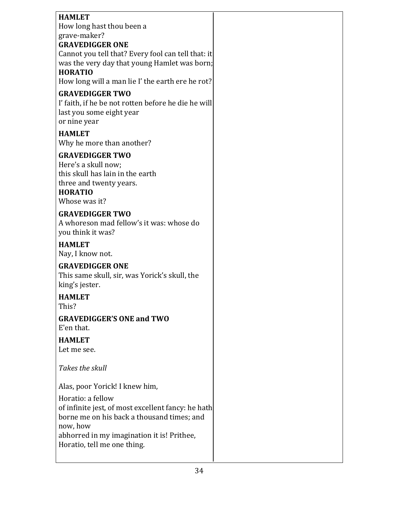| <b>HAMLET</b><br>How long hast thou been a<br>grave-maker?<br><b>GRAVEDIGGER ONE</b><br>Cannot you tell that? Every fool can tell that: it<br>was the very day that young Hamlet was born;<br><b>HORATIO</b><br>How long will a man lie I' the earth ere he rot?<br><b>GRAVEDIGGER TWO</b><br>I' faith, if he be not rotten before he die he will |  |
|---------------------------------------------------------------------------------------------------------------------------------------------------------------------------------------------------------------------------------------------------------------------------------------------------------------------------------------------------|--|
| last you some eight year<br>or nine year<br><b>HAMLET</b>                                                                                                                                                                                                                                                                                         |  |
| Why he more than another?                                                                                                                                                                                                                                                                                                                         |  |
| <b>GRAVEDIGGER TWO</b><br>Here's a skull now;<br>this skull has lain in the earth<br>three and twenty years.<br><b>HORATIO</b><br>Whose was it?                                                                                                                                                                                                   |  |
| <b>GRAVEDIGGER TWO</b><br>A whoreson mad fellow's it was: whose do<br>you think it was?                                                                                                                                                                                                                                                           |  |
| <b>HAMLET</b><br>Nay, I know not.                                                                                                                                                                                                                                                                                                                 |  |
| <b>GRAVEDIGGER ONE</b><br>This same skull, sir, was Yorick's skull, the<br>king's jester.                                                                                                                                                                                                                                                         |  |
| <b>HAMLET</b><br>This?                                                                                                                                                                                                                                                                                                                            |  |
| <b>GRAVEDIGGER'S ONE and TWO</b><br>E'en that.                                                                                                                                                                                                                                                                                                    |  |
| <b>HAMLET</b><br>Let me see.                                                                                                                                                                                                                                                                                                                      |  |
| Takes the skull                                                                                                                                                                                                                                                                                                                                   |  |
| Alas, poor Yorick! I knew him,                                                                                                                                                                                                                                                                                                                    |  |
| Horatio: a fellow<br>of infinite jest, of most excellent fancy: he hath<br>borne me on his back a thousand times; and<br>now, how<br>abhorred in my imagination it is! Prithee,<br>Horatio, tell me one thing.                                                                                                                                    |  |
|                                                                                                                                                                                                                                                                                                                                                   |  |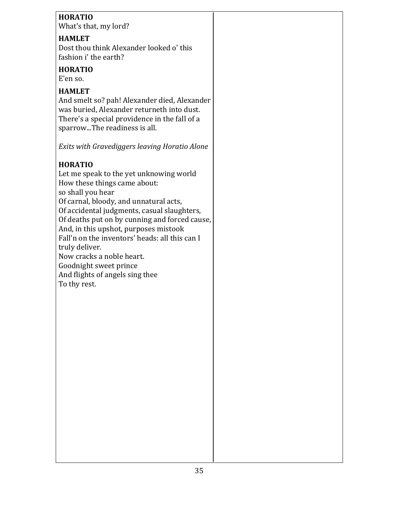## **HORATIO**

What's that, my lord?

## **HAMLET**

Dost thou think Alexander looked o' this fashion i' the earth?

### **HORATIO**

E'en so.

## **HAMLET**

And smelt so? pah! Alexander died, Alexander was buried, Alexander returneth into dust. There's a special providence in the fall of a sparrow...The readiness is all.

*Exits* with Gravediggers leaving Horatio Alone

# **HORATIO**

Let me speak to the yet unknowing world How these things came about: so shall you hear Of carnal, bloody, and unnatural acts, Of accidental judgments, casual slaughters, Of deaths put on by cunning and forced cause, And, in this upshot, purposes mistook Fall'n on the inventors' heads: all this can I truly deliver. Now cracks a noble heart. Goodnight sweet prince

And flights of angels sing thee To thy rest.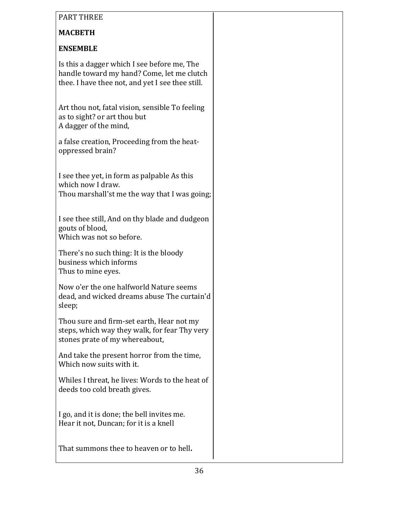| <b>PART THREE</b>                                                                                                                             |  |
|-----------------------------------------------------------------------------------------------------------------------------------------------|--|
| <b>MACBETH</b>                                                                                                                                |  |
| <b>ENSEMBLE</b>                                                                                                                               |  |
| Is this a dagger which I see before me, The<br>handle toward my hand? Come, let me clutch<br>thee. I have thee not, and yet I see thee still. |  |
| Art thou not, fatal vision, sensible To feeling<br>as to sight? or art thou but<br>A dagger of the mind,                                      |  |
| a false creation, Proceeding from the heat-<br>oppressed brain?                                                                               |  |
| I see thee yet, in form as palpable As this<br>which now I draw.<br>Thou marshall'st me the way that I was going;                             |  |
| I see thee still, And on thy blade and dudgeon<br>gouts of blood,<br>Which was not so before.                                                 |  |
| There's no such thing: It is the bloody<br>business which informs<br>Thus to mine eyes.                                                       |  |
| Now o'er the one halfworld Nature seems<br>dead, and wicked dreams abuse The curtain'd<br>sleep;                                              |  |
| Thou sure and firm-set earth, Hear not my<br>steps, which way they walk, for fear Thy very<br>stones prate of my whereabout,                  |  |
| And take the present horror from the time,<br>Which now suits with it.                                                                        |  |
| Whiles I threat, he lives: Words to the heat of<br>deeds too cold breath gives.                                                               |  |
| I go, and it is done; the bell invites me.<br>Hear it not, Duncan; for it is a knell                                                          |  |
| That summons thee to heaven or to hell.                                                                                                       |  |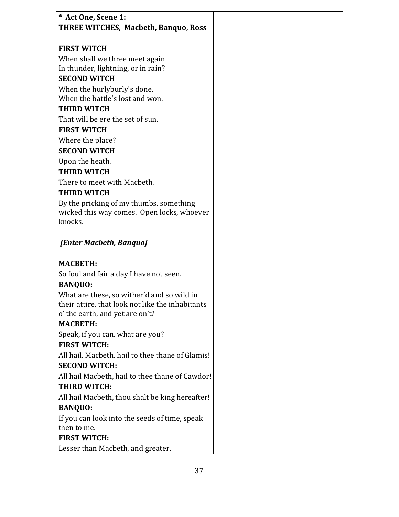| * Act One, Scene 1:                                            |
|----------------------------------------------------------------|
| <b>THREE WITCHES, Macbeth, Banquo, Ross</b>                    |
|                                                                |
| <b>FIRST WITCH</b>                                             |
| When shall we three meet again                                 |
| In thunder, lightning, or in rain?                             |
| <b>SECOND WITCH</b>                                            |
| When the hurlyburly's done,<br>When the battle's lost and won. |
| <b>THIRD WITCH</b>                                             |
| That will be ere the set of sun.                               |
| <b>FIRST WITCH</b>                                             |
|                                                                |
| Where the place?                                               |
| <b>SECOND WITCH</b>                                            |
| Upon the heath.                                                |
| <b>THIRD WITCH</b>                                             |
| There to meet with Macbeth.                                    |
| <b>THIRD WITCH</b>                                             |
| By the pricking of my thumbs, something                        |
| wicked this way comes. Open locks, whoever<br>knocks.          |
|                                                                |
| [Enter Macbeth, Banquo]                                        |
|                                                                |
| <b>MACBETH:</b>                                                |
| So foul and fair a day I have not seen.                        |
| <b>BANQUO:</b>                                                 |
| What are these, so wither'd and so wild in                     |
| their attire, that look not like the inhabitants               |
| o' the earth, and yet are on't?                                |
| <b>MACBETH:</b>                                                |
| Speak, if you can, what are you?                               |
| <b>FIRST WITCH:</b>                                            |
| All hail, Macbeth, hail to thee thane of Glamis!               |
| <b>SECOND WITCH:</b>                                           |
| All hail Macbeth, hail to thee thane of Cawdor!                |
| <b>THIRD WITCH:</b>                                            |
| All hail Macbeth, thou shalt be king hereafter!                |
| <b>BANQUO:</b>                                                 |
| If you can look into the seeds of time, speak                  |
| then to me.                                                    |
| <b>FIRST WITCH:</b>                                            |
| Lesser than Macbeth, and greater.                              |
|                                                                |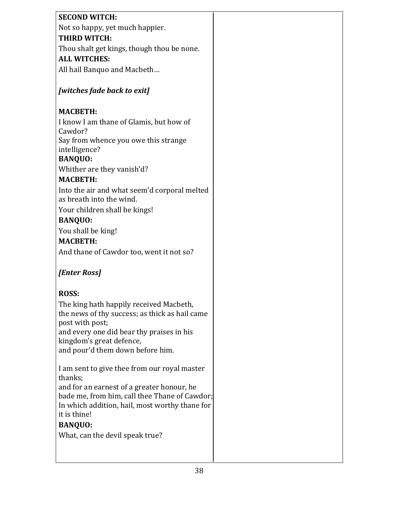| <b>SECOND WITCH:</b>                                                     |  |
|--------------------------------------------------------------------------|--|
| Not so happy, yet much happier.                                          |  |
| <b>THIRD WITCH:</b>                                                      |  |
| Thou shalt get kings, though thou be none.                               |  |
| <b>ALL WITCHES:</b>                                                      |  |
| All hail Banquo and Macbeth                                              |  |
| [witches fade back to exit]                                              |  |
| <b>MACBETH:</b>                                                          |  |
| I know I am thane of Glamis, but how of<br>Cawdor?                       |  |
| Say from whence you owe this strange                                     |  |
| intelligence?                                                            |  |
| <b>BANQUO:</b>                                                           |  |
| Whither are they vanish'd?                                               |  |
| <b>MACBETH:</b>                                                          |  |
| Into the air and what seem'd corporal melted<br>as breath into the wind. |  |
| Your children shall be kings!                                            |  |
| <b>BANQUO:</b>                                                           |  |
| You shall be king!                                                       |  |
| <b>MACBETH:</b>                                                          |  |
| And thane of Cawdor too, went it not so?                                 |  |
|                                                                          |  |
| [Enter Ross]                                                             |  |
|                                                                          |  |
| <b>ROSS:</b>                                                             |  |
| The king hath happily received Macbeth,                                  |  |
| the news of thy success; as thick as hail came                           |  |
| post with post;<br>and every one did bear thy praises in his             |  |
| kingdom's great defence,                                                 |  |
| and pour'd them down before him.                                         |  |
|                                                                          |  |
| I am sent to give thee from our royal master<br>thanks;                  |  |
| and for an earnest of a greater honour, he                               |  |
| bade me, from him, call thee Thane of Cawdor;                            |  |
| In which addition, hail, most worthy thane for                           |  |
| it is thine!                                                             |  |
| <b>BANQUO:</b>                                                           |  |
| What, can the devil speak true?                                          |  |
|                                                                          |  |
|                                                                          |  |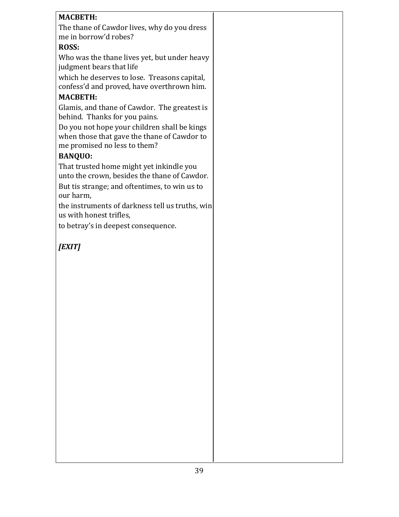## **MACBETH:**

The thane of Cawdor lives, why do you dress me in borrow'd robes?

## **ROSS:**

Who was the thane lives yet, but under heavy judgment bears that life

which he deserves to lose. Treasons capital, confess'd and proved, have overthrown him.

## **MACBETH:**

Glamis, and thane of Cawdor. The greatest is behind. Thanks for you pains.

Do you not hope your children shall be kings when those that gave the thane of Cawdor to me promised no less to them?

# **BANQUO:**

That trusted home might yet inkindle you unto the crown, besides the thane of Cawdor.

But tis strange; and oftentimes, to win us to our harm,

the instruments of darkness tell us truths, win us with honest trifles,

to betray's in deepest consequence.

*[EXIT]*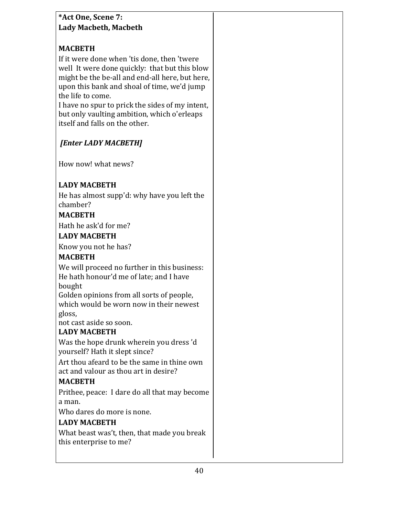## **\*Act One, Scene 7: Lady Macbeth, Macbeth**

# **MACBETH**

If it were done when 'tis done, then 'twere well It were done quickly: that but this blow might be the be-all and end-all here, but here, upon this bank and shoal of time, we'd jump the life to come.

I have no spur to prick the sides of my intent, but only vaulting ambition, which o'erleaps itself and falls on the other.

# *[Enter LADY MACBETH]*

How now! what news?

## **LADY MACBETH**

He has almost supp'd: why have you left the chamber?

### **MACBETH**

Hath he ask'd for me?

### **LADY MACBETH**

Know you not he has?

## **MACBETH**

We will proceed no further in this business: He hath honour'd me of late; and I have bought 

Golden opinions from all sorts of people, which would be worn now in their newest gloss, 

not cast aside so soon.

# **LADY MACBETH**

Was the hope drunk wherein you dress 'd yourself? Hath it slept since?

Art thou afeard to be the same in thine own act and valour as thou art in desire?

# **MACBETH**

Prithee, peace: I dare do all that may become a man.

Who dares do more is none.

## **LADY MACBETH**

What beast was't, then, that made you break this enterprise to me?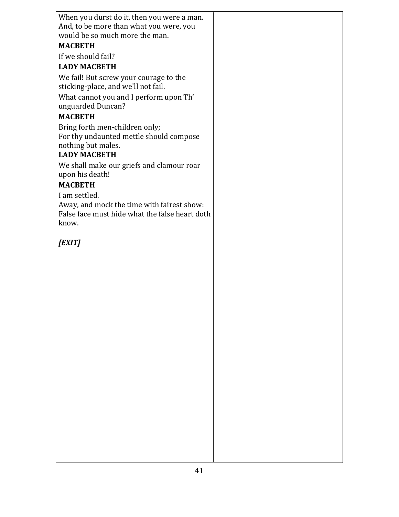| When you durst do it, then you were a man.     |  |
|------------------------------------------------|--|
| And, to be more than what you were, you        |  |
| would be so much more the man.                 |  |
| <b>MACBETH</b>                                 |  |
| If we should fail?                             |  |
| <b>LADY MACBETH</b>                            |  |
| We fail! But screw your courage to the         |  |
| sticking-place, and we'll not fail.            |  |
| What cannot you and I perform upon Th'         |  |
| unguarded Duncan?                              |  |
| <b>MACBETH</b>                                 |  |
| Bring forth men-children only;                 |  |
| For thy undaunted mettle should compose        |  |
| nothing but males.                             |  |
| <b>LADY MACBETH</b>                            |  |
| We shall make our griefs and clamour roar      |  |
| upon his death!                                |  |
| <b>MACBETH</b>                                 |  |
| I am settled.                                  |  |
| Away, and mock the time with fairest show:     |  |
| False face must hide what the false heart doth |  |
| know.                                          |  |
|                                                |  |
| [EXIT]                                         |  |
|                                                |  |
|                                                |  |
|                                                |  |
|                                                |  |
|                                                |  |
|                                                |  |
|                                                |  |
|                                                |  |
|                                                |  |
|                                                |  |
|                                                |  |
|                                                |  |
|                                                |  |
|                                                |  |
|                                                |  |
|                                                |  |
|                                                |  |
|                                                |  |
|                                                |  |
|                                                |  |
|                                                |  |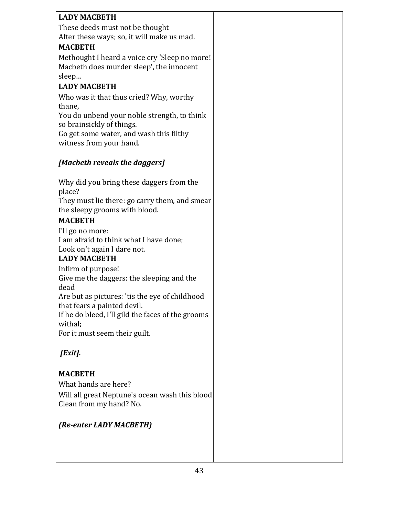| <b>LADY MACBETH</b>                               |  |
|---------------------------------------------------|--|
| These deeds must not be thought                   |  |
| After these ways; so, it will make us mad.        |  |
| <b>MACBETH</b>                                    |  |
| Methought I heard a voice cry 'Sleep no more!     |  |
| Macbeth does murder sleep', the innocent          |  |
| sleep                                             |  |
| <b>LADY MACBETH</b>                               |  |
| Who was it that thus cried? Why, worthy           |  |
| thane,                                            |  |
| You do unbend your noble strength, to think       |  |
| so brainsickly of things.                         |  |
| Go get some water, and wash this filthy           |  |
| witness from your hand.                           |  |
|                                                   |  |
| [Macbeth reveals the daggers]                     |  |
|                                                   |  |
| Why did you bring these daggers from the          |  |
| place?                                            |  |
| They must lie there: go carry them, and smear     |  |
| the sleepy grooms with blood.                     |  |
| <b>MACBETH</b>                                    |  |
| I'll go no more:                                  |  |
| I am afraid to think what I have done;            |  |
| Look on't again I dare not.                       |  |
| <b>LADY MACBETH</b>                               |  |
| Infirm of purpose!                                |  |
| Give me the daggers: the sleeping and the         |  |
| dead                                              |  |
| Are but as pictures: 'tis the eye of childhood    |  |
| that fears a painted devil.                       |  |
| If he do bleed, I'll gild the faces of the grooms |  |
| withal;                                           |  |
| For it must seem their guilt.                     |  |
|                                                   |  |
| [Exit].                                           |  |
|                                                   |  |
| <b>MACBETH</b>                                    |  |
| What hands are here?                              |  |
| Will all great Neptune's ocean wash this blood    |  |
| Clean from my hand? No.                           |  |
|                                                   |  |
| (Re-enter LADY MACBETH)                           |  |
|                                                   |  |
|                                                   |  |
|                                                   |  |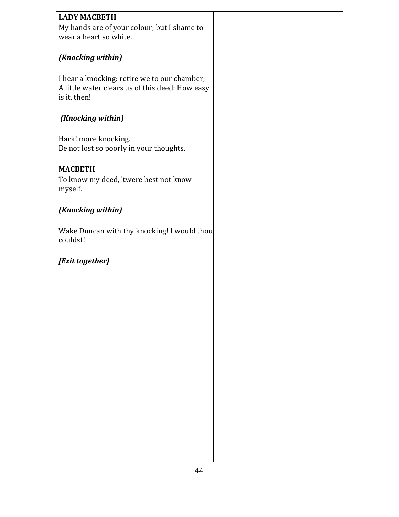| <b>LADY MACBETH</b>                             |  |
|-------------------------------------------------|--|
|                                                 |  |
| My hands are of your colour; but I shame to     |  |
| wear a heart so white.                          |  |
|                                                 |  |
|                                                 |  |
| (Knocking within)                               |  |
|                                                 |  |
|                                                 |  |
| I hear a knocking: retire we to our chamber;    |  |
| A little water clears us of this deed: How easy |  |
| is it, then!                                    |  |
|                                                 |  |
|                                                 |  |
| (Knocking within)                               |  |
|                                                 |  |
|                                                 |  |
| Hark! more knocking.                            |  |
| Be not lost so poorly in your thoughts.         |  |
|                                                 |  |
|                                                 |  |
| <b>MACBETH</b>                                  |  |
| To know my deed, 'twere best not know           |  |
| myself.                                         |  |
|                                                 |  |
|                                                 |  |
| (Knocking within)                               |  |
|                                                 |  |
|                                                 |  |
| Wake Duncan with thy knocking! I would thou     |  |
| couldst!                                        |  |
|                                                 |  |
|                                                 |  |
| [Exit together]                                 |  |
|                                                 |  |
|                                                 |  |
|                                                 |  |
|                                                 |  |
|                                                 |  |
|                                                 |  |
|                                                 |  |
|                                                 |  |
|                                                 |  |
|                                                 |  |
|                                                 |  |
|                                                 |  |
|                                                 |  |
|                                                 |  |
|                                                 |  |
|                                                 |  |
|                                                 |  |
|                                                 |  |
|                                                 |  |
|                                                 |  |
|                                                 |  |
|                                                 |  |
|                                                 |  |
|                                                 |  |
|                                                 |  |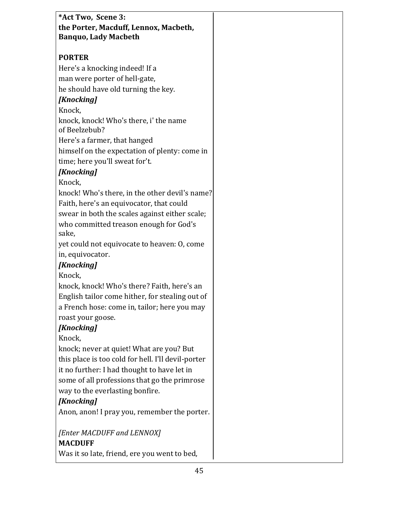| *Act Two, Scene 3:                                 |  |
|----------------------------------------------------|--|
| the Porter, Macduff, Lennox, Macbeth,              |  |
| <b>Banquo, Lady Macbeth</b>                        |  |
| <b>PORTER</b>                                      |  |
| Here's a knocking indeed! If a                     |  |
| man were porter of hell-gate,                      |  |
| he should have old turning the key.                |  |
| <b>[Knocking]</b>                                  |  |
| Knock,                                             |  |
| knock, knock! Who's there, i' the name             |  |
| of Beelzebub?                                      |  |
| Here's a farmer, that hanged                       |  |
| himself on the expectation of plenty: come in      |  |
| time; here you'll sweat for't.                     |  |
| <b>[Knocking]</b>                                  |  |
| Knock,                                             |  |
| knock! Who's there, in the other devil's name?     |  |
| Faith, here's an equivocator, that could           |  |
| swear in both the scales against either scale;     |  |
| who committed treason enough for God's             |  |
| sake,                                              |  |
| yet could not equivocate to heaven: O, come        |  |
| in, equivocator.                                   |  |
| <b>[Knocking]</b>                                  |  |
| Knock,                                             |  |
| knock, knock! Who's there? Faith, here's an        |  |
| English tailor come hither, for stealing out of    |  |
| a French hose: come in, tailor; here you may       |  |
| roast your goose.<br><b>[Knocking]</b>             |  |
| Knock,                                             |  |
| knock; never at quiet! What are you? But           |  |
| this place is too cold for hell. I'll devil-porter |  |
| it no further: I had thought to have let in        |  |
| some of all professions that go the primrose       |  |
| way to the everlasting bonfire.                    |  |
| <b>[Knocking]</b>                                  |  |
| Anon, anon! I pray you, remember the porter.       |  |
|                                                    |  |
| [Enter MACDUFF and LENNOX]                         |  |
| <b>MACDUFF</b>                                     |  |
| Was it so late, friend, ere you went to bed,       |  |
|                                                    |  |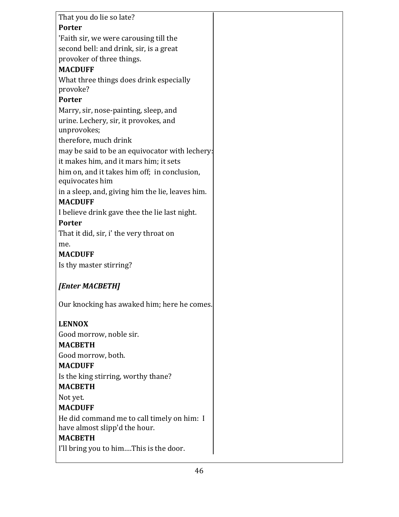| That you do lie so late?                             |  |
|------------------------------------------------------|--|
| <b>Porter</b>                                        |  |
| 'Faith sir, we were carousing till the               |  |
| second bell: and drink, sir, is a great              |  |
| provoker of three things.                            |  |
| <b>MACDUFF</b>                                       |  |
| What three things does drink especially              |  |
| provoke?                                             |  |
| <b>Porter</b>                                        |  |
| Marry, sir, nose-painting, sleep, and                |  |
| urine. Lechery, sir, it provokes, and<br>unprovokes; |  |
| therefore, much drink                                |  |
| may be said to be an equivocator with lechery:       |  |
| it makes him, and it mars him; it sets               |  |
| him on, and it takes him off; in conclusion,         |  |
| equivocates him                                      |  |
| in a sleep, and, giving him the lie, leaves him.     |  |
| <b>MACDUFF</b>                                       |  |
| I believe drink gave thee the lie last night.        |  |
| <b>Porter</b>                                        |  |
| That it did, sir, i' the very throat on              |  |
| me.                                                  |  |
| <b>MACDUFF</b>                                       |  |
| Is thy master stirring?                              |  |
| [Enter MACBETH]                                      |  |
| Our knocking has awaked him; here he comes.          |  |
| <b>LENNOX</b>                                        |  |
| Good morrow, noble sir.                              |  |
| <b>MACBETH</b>                                       |  |
| Good morrow, both.                                   |  |
| <b>MACDUFF</b>                                       |  |
| Is the king stirring, worthy thane?                  |  |
| <b>MACBETH</b>                                       |  |
| Not yet.                                             |  |
| <b>MACDUFF</b>                                       |  |
| He did command me to call timely on him: I           |  |
| have almost slipp'd the hour.                        |  |
| <b>MACBETH</b>                                       |  |
| I'll bring you to himThis is the door.               |  |
|                                                      |  |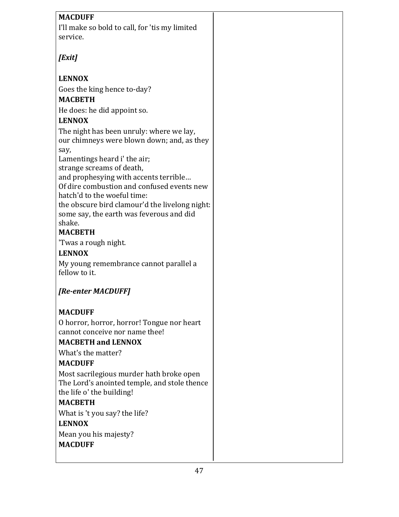| <b>MACDUFF</b>                                                            |
|---------------------------------------------------------------------------|
| I'll make so bold to call, for 'tis my limited                            |
| service.                                                                  |
|                                                                           |
| [Exit]                                                                    |
|                                                                           |
| <b>LENNOX</b>                                                             |
| Goes the king hence to-day?                                               |
| <b>MACBETH</b>                                                            |
| He does: he did appoint so.                                               |
| <b>LENNOX</b>                                                             |
| The night has been unruly: where we lay,                                  |
| our chimneys were blown down; and, as they                                |
| say,                                                                      |
| Lamentings heard i' the air;                                              |
| strange screams of death,                                                 |
| and prophesying with accents terrible                                     |
| Of dire combustion and confused events new<br>hatch'd to the woeful time: |
| the obscure bird clamour'd the livelong night:                            |
| some say, the earth was feverous and did                                  |
| shake.                                                                    |
| <b>MACBETH</b>                                                            |
| 'Twas a rough night.                                                      |
| <b>LENNOX</b>                                                             |
| My young remembrance cannot parallel a                                    |
| fellow to it.                                                             |
|                                                                           |
| [Re-enter MACDUFF]                                                        |
| <b>MACDUFF</b>                                                            |
| O horror, horror, horror! Tongue nor heart                                |
| cannot conceive nor name thee!                                            |
| <b>MACBETH and LENNOX</b>                                                 |
| What's the matter?                                                        |

#### **MACDUFF**

Most sacrilegious murder hath broke open The Lord's anointed temple, and stole thence the life o' the building!

#### **MACBETH**

What is 't you say? the life?

#### **LENNOX**

Mean you his majesty?

### **MACDUFF**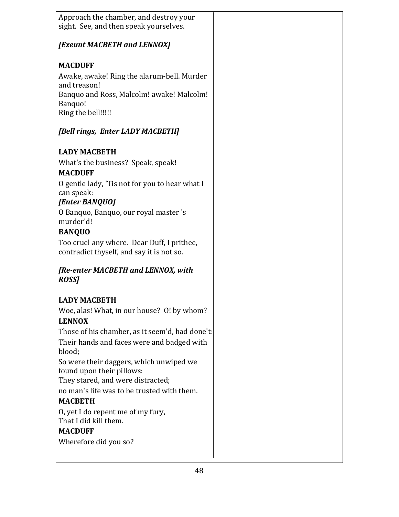| Those of his chamber, as it seem'd, had done't: |
|-------------------------------------------------|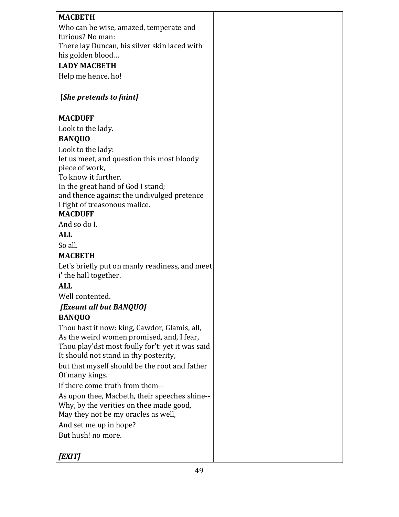| <b>MACBETH</b>                                                                            |  |
|-------------------------------------------------------------------------------------------|--|
| Who can be wise, amazed, temperate and                                                    |  |
| furious? No man:                                                                          |  |
| There lay Duncan, his silver skin laced with<br>his golden blood                          |  |
| <b>LADY MACBETH</b>                                                                       |  |
| Help me hence, ho!                                                                        |  |
|                                                                                           |  |
| [She pretends to faint]                                                                   |  |
| <b>MACDUFF</b>                                                                            |  |
| Look to the lady.                                                                         |  |
| <b>BANQUO</b>                                                                             |  |
| Look to the lady:                                                                         |  |
| let us meet, and question this most bloody                                                |  |
| piece of work,                                                                            |  |
| To know it further.<br>In the great hand of God I stand;                                  |  |
| and thence against the undivulged pretence                                                |  |
| I fight of treasonous malice.                                                             |  |
| <b>MACDUFF</b>                                                                            |  |
| And so do I.                                                                              |  |
| <b>ALL</b>                                                                                |  |
| So all.                                                                                   |  |
| <b>MACBETH</b>                                                                            |  |
| Let's briefly put on manly readiness, and meet<br>i' the hall together.                   |  |
| <b>ALL</b>                                                                                |  |
| Well contented.                                                                           |  |
| [Exeunt all but BANQUO]                                                                   |  |
| <b>BANQUO</b>                                                                             |  |
| Thou hast it now: king, Cawdor, Glamis, all,                                              |  |
| As the weird women promised, and, I fear,                                                 |  |
| Thou play'dst most foully for't: yet it was said<br>It should not stand in thy posterity, |  |
| but that myself should be the root and father                                             |  |
| Of many kings.                                                                            |  |
| If there come truth from them--                                                           |  |
| As upon thee, Macbeth, their speeches shine--                                             |  |
| Why, by the verities on thee made good,                                                   |  |
| May they not be my oracles as well,                                                       |  |
| And set me up in hope?                                                                    |  |
| But hush! no more.                                                                        |  |
| [EXIT]                                                                                    |  |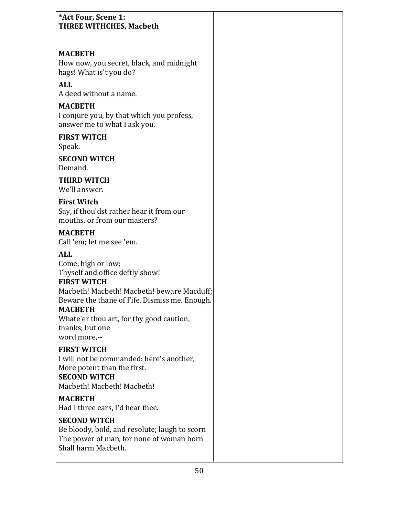| *Act Four, Scene 1:<br><b>THREE WITHCHES, Macbeth</b>                                                                                                                                                                                                                                     |  |
|-------------------------------------------------------------------------------------------------------------------------------------------------------------------------------------------------------------------------------------------------------------------------------------------|--|
| <b>MACBETH</b><br>How now, you secret, black, and midnight<br>hags! What is't you do?<br><b>ALL</b>                                                                                                                                                                                       |  |
| A deed without a name.                                                                                                                                                                                                                                                                    |  |
| <b>MACBETH</b><br>I conjure you, by that which you profess,<br>answer me to what I ask you.                                                                                                                                                                                               |  |
| <b>FIRST WITCH</b><br>Speak.                                                                                                                                                                                                                                                              |  |
| <b>SECOND WITCH</b><br>Demand.                                                                                                                                                                                                                                                            |  |
| <b>THIRD WITCH</b><br>We'll answer.                                                                                                                                                                                                                                                       |  |
| <b>First Witch</b><br>Say, if thou'dst rather hear it from our<br>mouths, or from our masters?                                                                                                                                                                                            |  |
| <b>MACBETH</b><br>Call 'em; let me see 'em.                                                                                                                                                                                                                                               |  |
| <b>ALL</b><br>Come, high or low;<br>Thyself and office deftly show!<br><b>FIRST WITCH</b><br>Macbeth! Macbeth! Macbeth! beware Macduff;<br>Beware the thane of Fife. Dismiss me. Enough.<br><b>MACBETH</b><br>Whate'er thou art, for thy good caution,<br>thanks; but one<br>word more,-- |  |
| <b>FIRST WITCH</b><br>I will not be commanded: here's another,<br>More potent than the first.<br><b>SECOND WITCH</b><br>Macbeth! Macbeth! Macbeth!                                                                                                                                        |  |
| <b>MACBETH</b><br>Had I three ears, I'd hear thee.                                                                                                                                                                                                                                        |  |
| <b>SECOND WITCH</b><br>Be bloody, bold, and resolute; laugh to scorn<br>The power of man, for none of woman born<br>Shall harm Macbeth.                                                                                                                                                   |  |
|                                                                                                                                                                                                                                                                                           |  |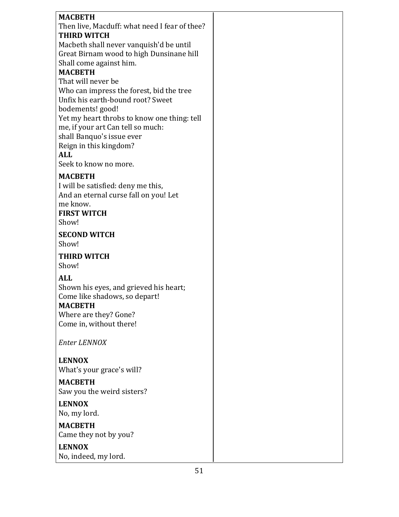| <b>MACBETH</b>                                                                |  |
|-------------------------------------------------------------------------------|--|
| Then live, Macduff: what need I fear of thee?                                 |  |
| <b>THIRD WITCH</b>                                                            |  |
| Macbeth shall never vanquish'd be until                                       |  |
| Great Birnam wood to high Dunsinane hill                                      |  |
| Shall come against him.                                                       |  |
| <b>MACBETH</b><br>That will never be                                          |  |
|                                                                               |  |
| Who can impress the forest, bid the tree<br>Unfix his earth-bound root? Sweet |  |
| bodements! good!                                                              |  |
| Yet my heart throbs to know one thing: tell                                   |  |
| me, if your art Can tell so much:                                             |  |
| shall Banquo's issue ever                                                     |  |
| Reign in this kingdom?                                                        |  |
| <b>ALL</b>                                                                    |  |
| Seek to know no more.                                                         |  |
| <b>MACBETH</b>                                                                |  |
| I will be satisfied: deny me this,                                            |  |
| And an eternal curse fall on you! Let                                         |  |
| me know.                                                                      |  |
| <b>FIRST WITCH</b>                                                            |  |
| Show!                                                                         |  |
| <b>SECOND WITCH</b>                                                           |  |
| Show!                                                                         |  |
| <b>THIRD WITCH</b>                                                            |  |
| Show!                                                                         |  |
|                                                                               |  |
| <b>ALL</b>                                                                    |  |
| Shown his eyes, and grieved his heart;<br>Come like shadows, so depart!       |  |
| <b>MACBETH</b>                                                                |  |
| Where are they? Gone?                                                         |  |
| Come in, without there!                                                       |  |
|                                                                               |  |
| <b>Enter LENNOX</b>                                                           |  |
|                                                                               |  |
| <b>LENNOX</b>                                                                 |  |
| What's your grace's will?                                                     |  |
| <b>MACBETH</b>                                                                |  |
| Saw you the weird sisters?                                                    |  |
| <b>LENNOX</b>                                                                 |  |
| No, my lord.                                                                  |  |
| <b>MACBETH</b>                                                                |  |
| Came they not by you?                                                         |  |
| <b>LENNOX</b>                                                                 |  |
|                                                                               |  |
| No, indeed, my lord.                                                          |  |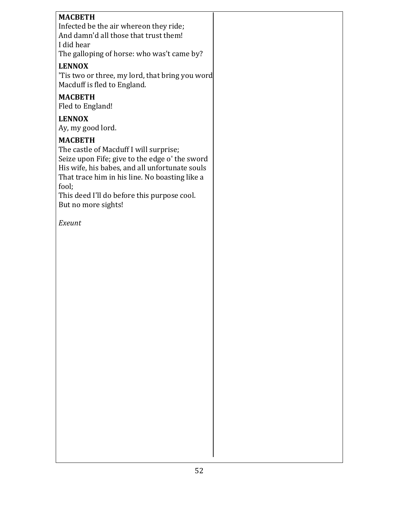#### **MACBETH** Infected be the air whereon they ride;

And damn'd all those that trust them! I did hear The galloping of horse: who was't came by?

## **LENNOX**

'Tis two or three, my lord, that bring you word Macduff is fled to England.

## **MACBETH**

Fled to England!

## **LENNOX**

Ay, my good lord.

## **MACBETH**

The castle of Macduff I will surprise; Seize upon Fife; give to the edge o' the sword His wife, his babes, and all unfortunate souls That trace him in his line. No boasting like a fool;

This deed I'll do before this purpose cool. But no more sights!

*Exeunt*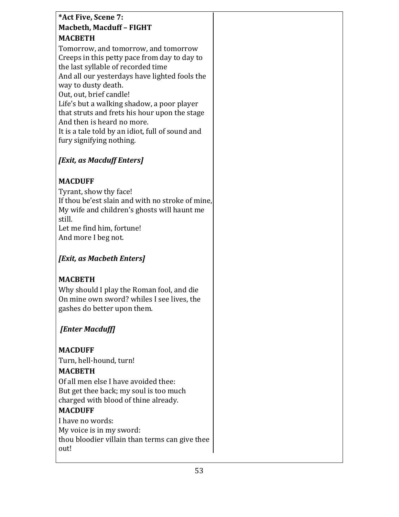# **\*Act Five, Scene 7: Macbeth, Macduff - FIGHT MACBETH**

Tomorrow, and tomorrow, and tomorrow Creeps in this petty pace from day to day to the last syllable of recorded time And all our yesterdays have lighted fools the way to dusty death. Out, out, brief candle! Life's but a walking shadow, a poor player that struts and frets his hour upon the stage And then is heard no more. It is a tale told by an idiot, full of sound and fury signifying nothing.

# *[Exit, as Macduff Enters]*

# **MACDUFF**

Tyrant, show thy face! If thou be'est slain and with no stroke of mine, My wife and children's ghosts will haunt me still. Let me find him, fortune! And more I beg not.

## *[Exit, as Macbeth Enters]*

# **MACBETH**

Why should I play the Roman fool, and die On mine own sword? whiles I see lives, the gashes do better upon them.

# *[Enter Macduff]*

# **MACDUFF**

Turn, hell-hound, turn!

# **MACBETH**

Of all men else I have avoided thee: But get thee back; my soul is too much charged with blood of thine already.

# **MACDUFF**

I have no words: My voice is in my sword: thou bloodier villain than terms can give thee out!